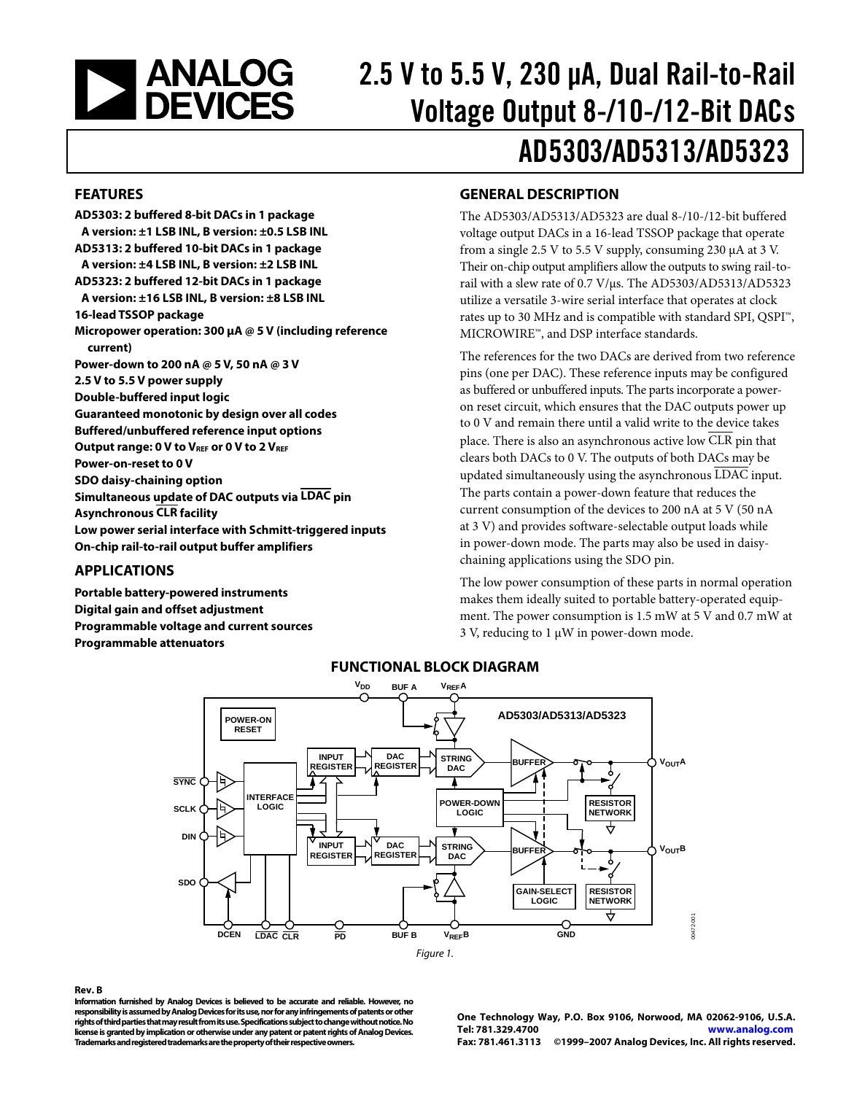<span id="page-0-1"></span><span id="page-0-0"></span>

# 2.5 V to 5.5 V, 230 μA, Dual Rail-to-Rail Voltage Output 8-/10-/12-Bit DACs AD5303/AD5313/AD5323

### **FEATURES**

**AD5303: 2 buffered 8-bit DACs in 1 package A version: ±1 LSB INL, B version: ±0.5 LSB INL AD5313: 2 buffered 10-bit DACs in 1 package A version: ±4 LSB INL, B version: ±2 LSB INL AD5323: 2 buffered 12-bit DACs in 1 package A version: ±16 LSB INL, B version: ±8 LSB INL 16-lead TSSOP package Micropower operation: 300 μA @ 5 V (including reference current) Power-down to 200 nA @ 5 V, 50 nA @ 3 V 2.5 V to 5.5 V power supply Double-buffered input logic Guaranteed monotonic by design over all codes Buffered/unbuffered reference input options**  Output range: 0 V to V<sub>REF</sub> or 0 V to 2 V<sub>REF</sub> **Power-on-reset to 0 V SDO daisy-chaining option Simultaneous update of DAC outputs via LDAC pin Asynchronous CLR facility Low power serial interface with Schmitt-triggered inputs On-chip rail-to-rail output buffer amplifiers** 

### **APPLICATIONS**

**Portable battery-powered instruments Digital gain and offset adjustment Programmable voltage and current sources Programmable attenuators** 

### **GENERAL DESCRIPTION**

The AD5303/AD5313/AD5323 are dual 8-/10-/12-bit buffered voltage output DACs in a 16-lead TSSOP package that operate from a single 2.5 V to 5.5 V supply, consuming 230 μA at 3 V. Their on-chip output amplifiers allow the outputs to swing rail-torail with a slew rate of 0.7 V/μs. The AD5303/AD5313/AD5323 utilize a versatile 3-wire serial interface that operates at clock rates up to 30 MHz and is compatible with standard SPI, QSPI™, MICROWIRE™, and DSP interface standards.

The references for the two DACs are derived from two reference pins (one per DAC). These reference inputs may be configured as buffered or unbuffered inputs. The parts incorporate a poweron reset circuit, which ensures that the DAC outputs power up to 0 V and remain there until a valid write to the device takes place. There is also an asynchronous active low CLR pin that clears both DACs to 0 V. The outputs of both DACs may be updated simultaneously using the asynchronous LDAC input. The parts contain a power-down feature that reduces the current consumption of the devices to 200 nA at 5 V (50 nA at 3 V) and provides software-selectable output loads while in power-down mode. The parts may also be used in daisychaining applications using the SDO pin.

The low power consumption of these parts in normal operation makes them ideally suited to portable battery-operated equipment. The power consumption is 1.5 mW at 5 V and 0.7 mW at 3 V, reducing to 1 μW in power-down mode.



### **FUNCTIONAL BLOCK DIAGRAM**

#### **Rev. B**

**Information furnished by Analog Devices is believed to be accurate and reliable. However, no responsibility is assumed by Analog Devices for its use, nor for any infringements of patents or other rights of third parties that may result from its use. Specifications subject to change without notice. No license is granted by implication or otherwise under any patent or patent rights of Analog Devices. Trademarks and registered trademarks are the property of their respective owners.** 

**One Technology Way, P.O. Box 9106, Norwood, MA 02062-9106, U.S.A. Tel: 781.329.4700 www.analog.com Fax: 781.461.3113 ©1999–2007 Analog Devices, Inc. All rights reserved.**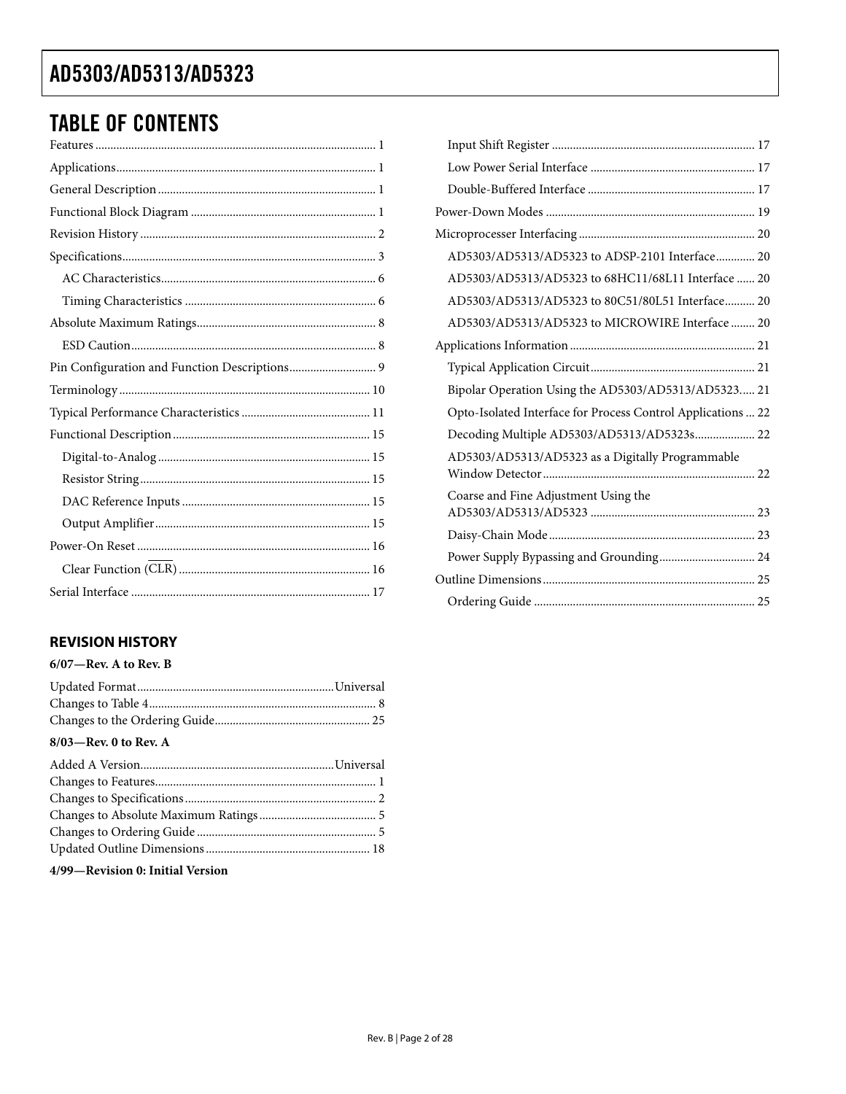# TABLE OF CONTENTS

### **REVISION HISTORY**

### **6/07—Rev. A to Rev. B**

| $8/03$ —Rev. 0 to Rev. A |  |
|--------------------------|--|

#### **4/99—Revision 0: Initial Version**

| AD5303/AD5313/AD5323 to ADSP-2101 Interface 20               |  |
|--------------------------------------------------------------|--|
| AD5303/AD5313/AD5323 to 68HC11/68L11 Interface  20           |  |
| AD5303/AD5313/AD5323 to 80C51/80L51 Interface 20             |  |
| AD5303/AD5313/AD5323 to MICROWIRE Interface  20              |  |
|                                                              |  |
|                                                              |  |
| Bipolar Operation Using the AD5303/AD5313/AD5323 21          |  |
| Opto-Isolated Interface for Process Control Applications  22 |  |
| Decoding Multiple AD5303/AD5313/AD5323s 22                   |  |
| AD5303/AD5313/AD5323 as a Digitally Programmable             |  |
| Coarse and Fine Adjustment Using the                         |  |
|                                                              |  |
| Power Supply Bypassing and Grounding 24                      |  |
|                                                              |  |
|                                                              |  |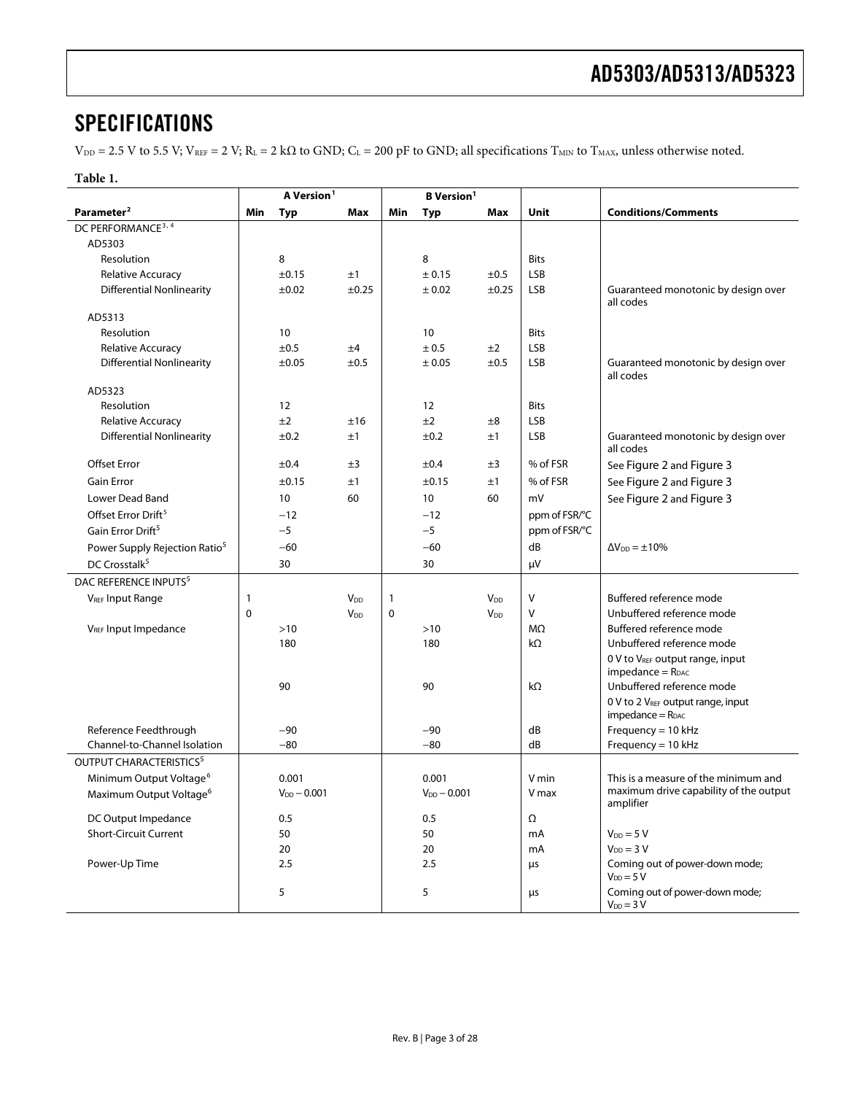## <span id="page-2-0"></span>**SPECIFICATIONS**

 $V_{DD} = 2.5$  V to 5.5 V;  $V_{REF} = 2$  V;  $R_L = 2$  k $\Omega$  to GND;  $C_L = 200$  pF to GND; all specifications  $T_{MIN}$  to  $T_{MAX}$ , unless otherwise noted.

| יי<br>ı |
|---------|
|---------|

|                                           | A Version <sup>1</sup><br><b>B</b> Version <sup>1</sup> |                  |                       |             |                  |                        |               |                                                         |
|-------------------------------------------|---------------------------------------------------------|------------------|-----------------------|-------------|------------------|------------------------|---------------|---------------------------------------------------------|
| Parameter <sup>2</sup>                    | Min                                                     | <b>Typ</b>       | Max                   | Min         | Typ              | Max                    | Unit          | <b>Conditions/Comments</b>                              |
| DC PERFORMANCE <sup>3, 4</sup>            |                                                         |                  |                       |             |                  |                        |               |                                                         |
| AD5303                                    |                                                         |                  |                       |             |                  |                        |               |                                                         |
| Resolution                                |                                                         | 8                |                       |             | 8                |                        | <b>Bits</b>   |                                                         |
| <b>Relative Accuracy</b>                  |                                                         | ±0.15            | ±1                    |             | ± 0.15           | ±0.5                   | LSB           |                                                         |
| <b>Differential Nonlinearity</b>          |                                                         | ±0.02            | $\pm 0.25$            |             | ± 0.02           | ±0.25                  | <b>LSB</b>    | Guaranteed monotonic by design over<br>all codes        |
| AD5313                                    |                                                         |                  |                       |             |                  |                        |               |                                                         |
| Resolution                                |                                                         | 10               |                       |             | 10               |                        | <b>Bits</b>   |                                                         |
| <b>Relative Accuracy</b>                  |                                                         | ±0.5             | ±4                    |             | ± 0.5            | ±2                     | <b>LSB</b>    |                                                         |
| <b>Differential Nonlinearity</b>          |                                                         | ±0.05            | ±0.5                  |             | ± 0.05           | ±0.5                   | <b>LSB</b>    | Guaranteed monotonic by design over<br>all codes        |
| AD5323                                    |                                                         |                  |                       |             |                  |                        |               |                                                         |
| Resolution                                |                                                         | 12               |                       |             | 12               |                        | <b>Bits</b>   |                                                         |
| <b>Relative Accuracy</b>                  |                                                         | ±2               | ±16                   |             | ±2               | $\pm 8$                | LSB           |                                                         |
| <b>Differential Nonlinearity</b>          |                                                         | ±0.2             | ±1                    |             | ±0.2             | ±1                     | LSB           | Guaranteed monotonic by design over<br>all codes        |
| <b>Offset Error</b>                       |                                                         | ±0.4             | ±3                    |             | ±0.4             | ±3                     | % of FSR      | See Figure 2 and Figure 3                               |
| <b>Gain Error</b>                         |                                                         | ±0.15            | ±1                    |             | $\pm 0.15$       | ±1                     | % of FSR      | See Figure 2 and Figure 3                               |
| Lower Dead Band                           |                                                         | 10               | 60                    |             | 10               | 60                     | mV            | See Figure 2 and Figure 3                               |
| Offset Error Drift <sup>5</sup>           |                                                         | $-12$            |                       |             | $-12$            |                        | ppm of FSR/°C |                                                         |
| Gain Error Drift <sup>5</sup>             |                                                         | $-5$             |                       |             | $-5$             |                        | ppm of FSR/°C |                                                         |
| Power Supply Rejection Ratio <sup>5</sup> |                                                         | $-60$            |                       |             | $-60$            |                        | dB            | $\Delta V_{DD} = \pm 10\%$                              |
| DC Crosstalk <sup>5</sup>                 |                                                         | 30               |                       |             | 30               |                        | $\mu$ V       |                                                         |
| DAC REFERENCE INPUTS <sup>5</sup>         |                                                         |                  |                       |             |                  |                        |               |                                                         |
| <b>VREF Input Range</b>                   | 1                                                       |                  | <b>V<sub>DD</sub></b> | 1           |                  | <b>V</b> <sub>DD</sub> | V             | Buffered reference mode                                 |
|                                           | $\mathbf 0$                                             |                  | <b>V<sub>DD</sub></b> | $\mathbf 0$ |                  | $V_{DD}$               | V             | Unbuffered reference mode                               |
| V <sub>REF</sub> Input Impedance          |                                                         | $>10$            |                       |             | >10              |                        | MΩ            | Buffered reference mode                                 |
|                                           |                                                         | 180              |                       |             | 180              |                        | kΩ            | Unbuffered reference mode                               |
|                                           |                                                         |                  |                       |             |                  |                        |               | 0 V to VREF output range, input                         |
|                                           |                                                         |                  |                       |             |                  |                        |               | $impedance = RDAC$                                      |
|                                           |                                                         | 90               |                       |             | 90               |                        | kΩ            | Unbuffered reference mode                               |
|                                           |                                                         |                  |                       |             |                  |                        |               | 0 V to 2 VREF output range, input<br>$impedance = RDAC$ |
| Reference Feedthrough                     |                                                         | $-90$            |                       |             | -90              |                        | dB            | Frequency = $10$ kHz                                    |
| Channel-to-Channel Isolation              |                                                         | $-80$            |                       |             | $-80$            |                        | dB            | Frequency = $10$ kHz                                    |
| OUTPUT CHARACTERISTICS <sup>5</sup>       |                                                         |                  |                       |             |                  |                        |               |                                                         |
| Minimum Output Voltage <sup>6</sup>       |                                                         | 0.001            |                       |             | 0.001            |                        | V min         | This is a measure of the minimum and                    |
| Maximum Output Voltage <sup>6</sup>       |                                                         | $V_{DD} - 0.001$ |                       |             | $V_{DD} - 0.001$ |                        | V max         | maximum drive capability of the output<br>amplifier     |
| DC Output Impedance                       |                                                         | 0.5              |                       |             | 0.5              |                        | Ω             |                                                         |
| <b>Short-Circuit Current</b>              |                                                         | 50               |                       |             | 50               |                        | mA            | $V_{DD} = 5 V$                                          |
|                                           |                                                         | 20               |                       |             | 20               |                        | mA            | $V_{DD} = 3 V$                                          |
| Power-Up Time                             |                                                         | 2.5              |                       |             | 2.5              |                        | μs            | Coming out of power-down mode;<br>$V_{DD} = 5 V$        |
|                                           |                                                         | 5                |                       |             | 5                |                        | μs            | Coming out of power-down mode;<br>$V_{DD} = 3 V$        |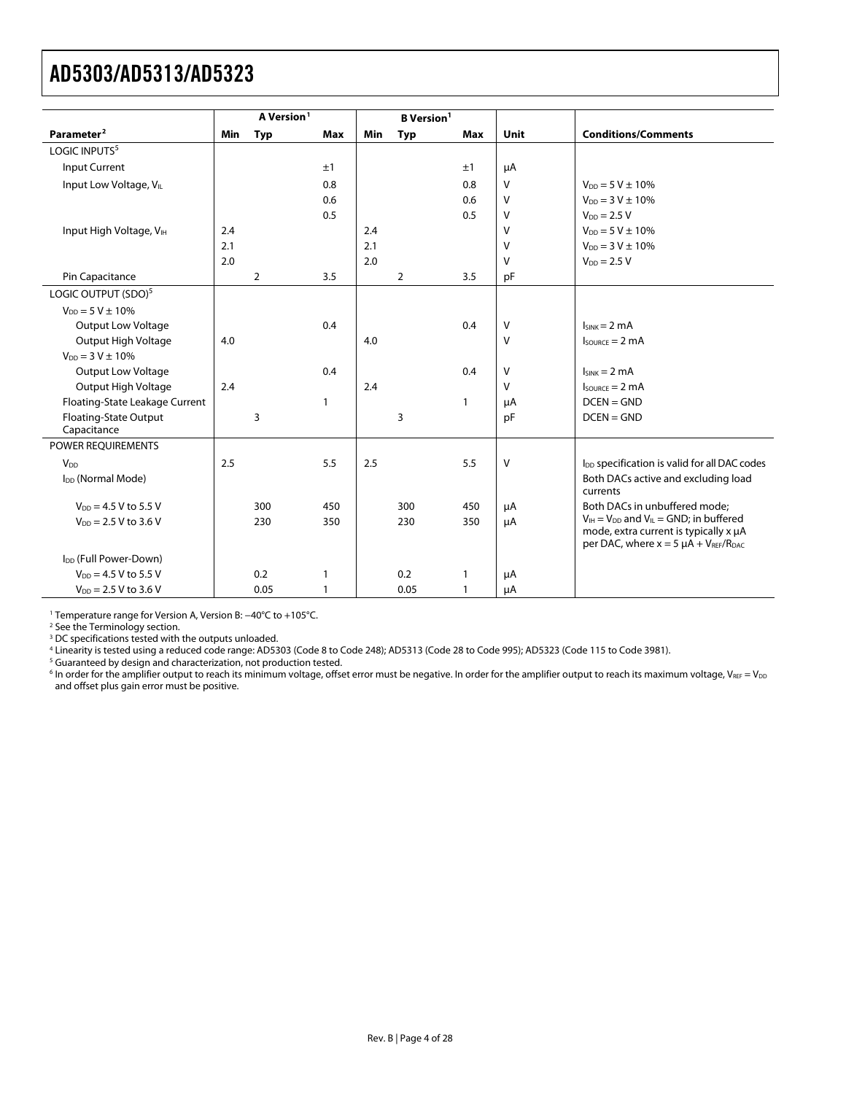<span id="page-3-0"></span>

|                                             |            | A Version <sup>1</sup> |              |     | <b>B</b> Version <sup>1</sup> |              |              |                                                                                         |
|---------------------------------------------|------------|------------------------|--------------|-----|-------------------------------|--------------|--------------|-----------------------------------------------------------------------------------------|
| Parameter <sup>2</sup>                      | <b>Min</b> | <b>Typ</b>             | <b>Max</b>   | Min | Typ                           | <b>Max</b>   | Unit         | <b>Conditions/Comments</b>                                                              |
| LOGIC INPUTS <sup>5</sup>                   |            |                        |              |     |                               |              |              |                                                                                         |
| <b>Input Current</b>                        |            |                        | ±1           |     |                               | ±1           | μA           |                                                                                         |
| Input Low Voltage, VL                       |            |                        | 0.8          |     |                               | 0.8          | $\vee$       | $V_{DD} = 5 V \pm 10\%$                                                                 |
|                                             |            |                        | 0.6          |     |                               | 0.6          | V            | $V_{DD} = 3 V \pm 10\%$                                                                 |
|                                             |            |                        | 0.5          |     |                               | 0.5          | V            | $V_{DD} = 2.5 V$                                                                        |
| Input High Voltage, VIH                     | 2.4        |                        |              | 2.4 |                               |              | $\vee$       | $V_{DD} = 5 V \pm 10\%$                                                                 |
|                                             | 2.1        |                        |              | 2.1 |                               |              | V            | $V_{DD} = 3 V \pm 10\%$                                                                 |
|                                             | 2.0        |                        |              | 2.0 |                               |              | V            | $V_{DD} = 2.5 V$                                                                        |
| Pin Capacitance                             |            | $\overline{2}$         | 3.5          |     | $\overline{2}$                | 3.5          | pF           |                                                                                         |
| LOGIC OUTPUT (SDO) <sup>5</sup>             |            |                        |              |     |                               |              |              |                                                                                         |
| $V_{DD} = 5 V \pm 10\%$                     |            |                        |              |     |                               |              |              |                                                                                         |
| <b>Output Low Voltage</b>                   |            |                        | 0.4          |     |                               | 0.4          | v            | $I_{SINK} = 2 mA$                                                                       |
| Output High Voltage                         | 4.0        |                        |              | 4.0 |                               |              | $\vee$       | $I_{\text{SOWRCF}} = 2 \text{ mA}$                                                      |
| $V_{DD} = 3 V \pm 10\%$                     |            |                        |              |     |                               |              |              |                                                                                         |
| <b>Output Low Voltage</b>                   |            |                        | 0.4          |     |                               | 0.4          | V            | $I_{SINK} = 2 mA$                                                                       |
| Output High Voltage                         | 2.4        |                        |              | 2.4 |                               |              | $\mathsf{V}$ | $I_{\text{SOLRCF}} = 2 \text{ mA}$                                                      |
| Floating-State Leakage Current              |            |                        | $\mathbf{1}$ |     |                               | $\mathbf{1}$ | μA           | $DCEN = GND$                                                                            |
| <b>Floating-State Output</b><br>Capacitance |            | 3                      |              |     | 3                             |              | pF           | $DCEN = GND$                                                                            |
| POWER REQUIREMENTS                          |            |                        |              |     |                               |              |              |                                                                                         |
| V <sub>DD</sub>                             | 2.5        |                        | 5.5          | 2.5 |                               | 5.5          | $\vee$       | I <sub>DD</sub> specification is valid for all DAC codes                                |
| I <sub>DD</sub> (Normal Mode)               |            |                        |              |     |                               |              |              | Both DACs active and excluding load<br>currents                                         |
| $V_{DD} = 4.5 V$ to 5.5 V                   |            | 300                    | 450          |     | 300                           | 450          | μA           | Both DACs in unbuffered mode:                                                           |
| $V_{DD}$ = 2.5 V to 3.6 V                   |            | 230                    | 350          |     | 230                           | 350          | μA           | $V_{IH} = V_{DD}$ and $V_{IL} = GND$ ; in buffered                                      |
|                                             |            |                        |              |     |                               |              |              | mode, extra current is typically x µA<br>per DAC, where $x = 5 \mu A + V_{REF}/R_{DAC}$ |
| I <sub>DD</sub> (Full Power-Down)           |            |                        |              |     |                               |              |              |                                                                                         |
| $V_{DD} = 4.5 V$ to 5.5 V                   |            | 0.2                    | $\mathbf{1}$ |     | 0.2                           | $\mathbf{1}$ | μA           |                                                                                         |
| $V_{DD}$ = 2.5 V to 3.6 V                   |            | 0.05                   | 1            |     | 0.05                          | $\mathbf{1}$ | μA           |                                                                                         |

1 Temperature range for Version A, Version B: −40°C to +105°C.

<sup>2</sup> See the [Terminology s](#page-9-1)ection.<br><sup>3</sup> DC specifications tested with the outputs unloaded.<br><sup>4</sup> Linearity is tested using a reduced code range: AD5303 (Code 8 to Code 248); AD5313 (Code 28 to Code 995); AD5323 (Code 115 to Co

 $6$  In order for the amplifier output to reach its minimum voltage, offset error must be negative. In order for the amplifier output to reach its maximum voltage, VREF = VDD and offset plus gain error must be positive.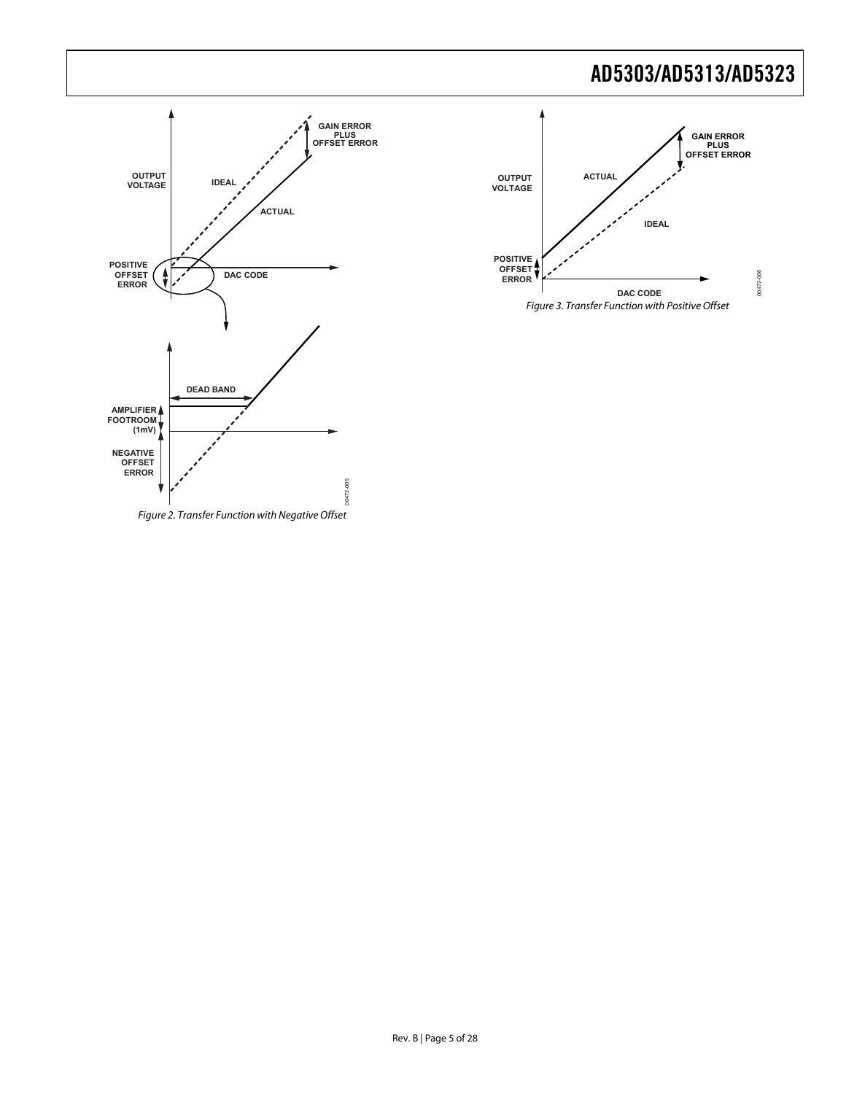<span id="page-4-1"></span><span id="page-4-0"></span>

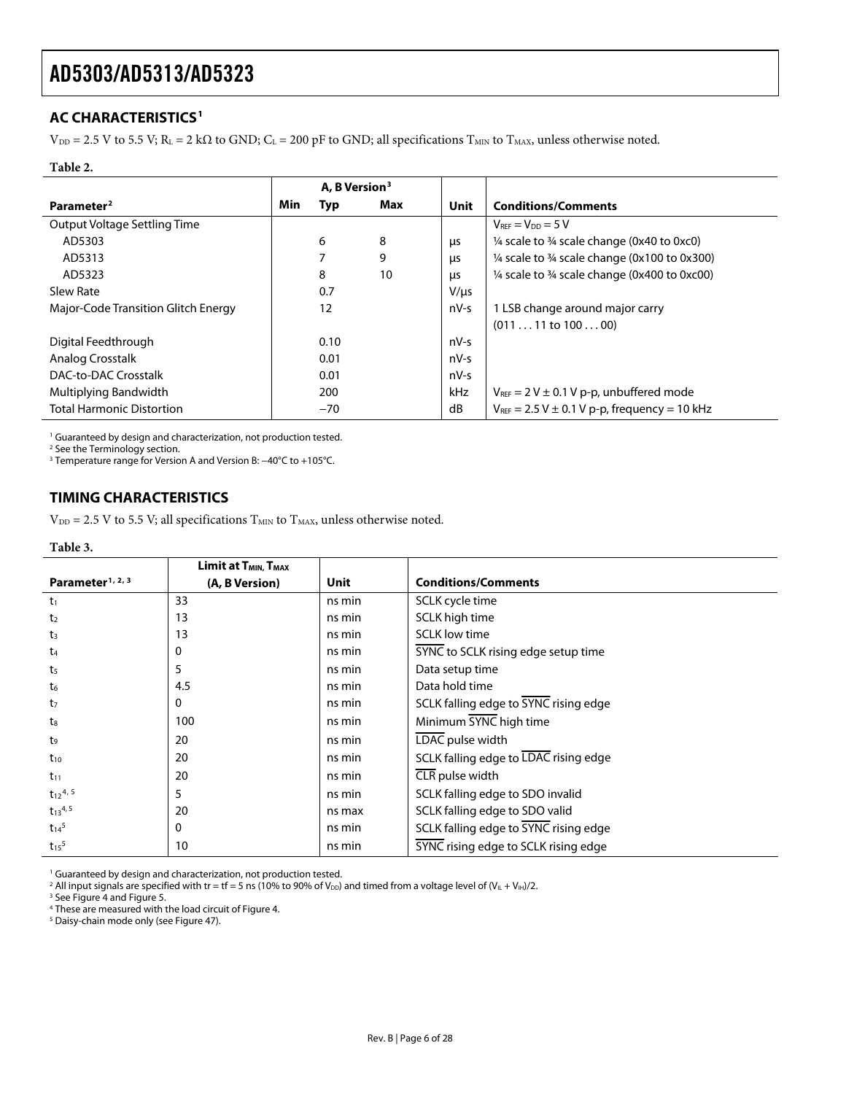### <span id="page-5-1"></span><span id="page-5-0"></span>**AC CHARACTERISTICS1**

 $V_{DD} = 2.5$  V to 5.5 V; R<sub>L</sub> = 2 k $\Omega$  to GND; C<sub>L</sub> = 200 pF to GND; all specifications T<sub>MIN</sub> to T<sub>MAX</sub>, unless otherwise noted.

#### **Table 2.**

|                                     | A. B Version <sup>3</sup> |       |     |            |                                                                    |
|-------------------------------------|---------------------------|-------|-----|------------|--------------------------------------------------------------------|
| Parameter <sup>2</sup>              | Min                       | Typ   | Max | Unit       | <b>Conditions/Comments</b>                                         |
| Output Voltage Settling Time        |                           |       |     |            | $V_{REF} = V_{DD} = 5 V$                                           |
| AD5303                              |                           | 6     | 8   | μs         | $\frac{1}{4}$ scale to $\frac{3}{4}$ scale change (0x40 to 0xc0)   |
| AD5313                              |                           | 7     | 9   | μs         | $\frac{1}{4}$ scale to $\frac{3}{4}$ scale change (0x100 to 0x300) |
| AD5323                              |                           | 8     | 10  | <b>LIS</b> | $\frac{1}{4}$ scale to $\frac{3}{4}$ scale change (0x400 to 0xc00) |
| Slew Rate                           |                           | 0.7   |     | $V/\mu s$  |                                                                    |
| Major-Code Transition Glitch Energy |                           | 12    |     | $nV-s$     | 1 LSB change around major carry                                    |
|                                     |                           |       |     |            | $(01111$ to $10000)$                                               |
| Digital Feedthrough                 |                           | 0.10  |     | $nV-S$     |                                                                    |
| Analog Crosstalk                    |                           | 0.01  |     | $nV-S$     |                                                                    |
| DAC-to-DAC Crosstalk                |                           | 0.01  |     | $nV-S$     |                                                                    |
| Multiplying Bandwidth               |                           | 200   |     | kHz        | $V_{REF}$ = 2 V $\pm$ 0.1 V p-p, unbuffered mode                   |
| <b>Total Harmonic Distortion</b>    |                           | $-70$ |     | dB         | $V_{REF}$ = 2.5 V $\pm$ 0.1 V p-p, frequency = 10 kHz              |

<sup>1</sup> Guaranteed by design and characterization, not production tested.

<sup>2</sup> See the [Terminology](#page-9-1) section.<br><sup>3</sup> Temperature range for Version A and Version B: −40°C to +105°C.

### **TIMING CHARACTERISTICS**

 $V_{DD} = 2.5$  V to 5.5 V; all specifications  $T_{MIN}$  to  $T_{MAX}$ , unless otherwise noted.

#### **Table 3.**

|                              | Limit at T <sub>MIN</sub> , T <sub>MAX</sub> |        |                                       |
|------------------------------|----------------------------------------------|--------|---------------------------------------|
| Parameter <sup>1, 2, 3</sup> | (A, B Version)                               | Unit   | <b>Conditions/Comments</b>            |
| $t_1$                        | 33                                           | ns min | SCLK cycle time                       |
| t <sub>2</sub>               | 13                                           | ns min | SCLK high time                        |
| $t_3$                        | 13                                           | ns min | <b>SCLK</b> low time                  |
| t <sub>4</sub>               | 0                                            | ns min | SYNC to SCLK rising edge setup time   |
| t <sub>5</sub>               | 5                                            | ns min | Data setup time                       |
| t <sub>6</sub>               | 4.5                                          | ns min | Data hold time                        |
| t <sub>7</sub>               | 0                                            | ns min | SCLK falling edge to SYNC rising edge |
| t <sub>8</sub>               | 100                                          | ns min | Minimum SYNC high time                |
| t9                           | 20                                           | ns min | LDAC pulse width                      |
| $t_{10}$                     | 20                                           | ns min | SCLK falling edge to LDAC rising edge |
| $t_{11}$                     | 20                                           | ns min | CLR pulse width                       |
| $t_{12}$ <sup>4, 5</sup>     | 5                                            | ns min | SCLK falling edge to SDO invalid      |
| $t_{13}$ <sup>4, 5</sup>     | 20                                           | ns max | SCLK falling edge to SDO valid        |
| $t_{14}^5$                   | 0                                            | ns min | SCLK falling edge to SYNC rising edge |
| $t_{15}$ <sup>5</sup>        | 10                                           | ns min | SYNC rising edge to SCLK rising edge  |

<sup>1</sup> Guaranteed by design and characterization, not production tested.

<sup>2</sup> All input signals are specified with tr = tf = 5 ns (10% to 90% of V<sub>DD</sub>) and timed from a voltage level of (V<sub>IL</sub> + V<sub>IH</sub>)/2.<br><sup>3</sup> See Figure 4 and Figure 5

<sup>3</sup> Se[e Figure 4 a](#page-6-0)nd Figure 5.

<sup>4</sup> These are measured with the load circuit of Figure 4.<br><sup>5</sup> Daisy-chain mode only (see Figure 47)

<sup>5</sup> Daisy-chain mode only (see Figure 47).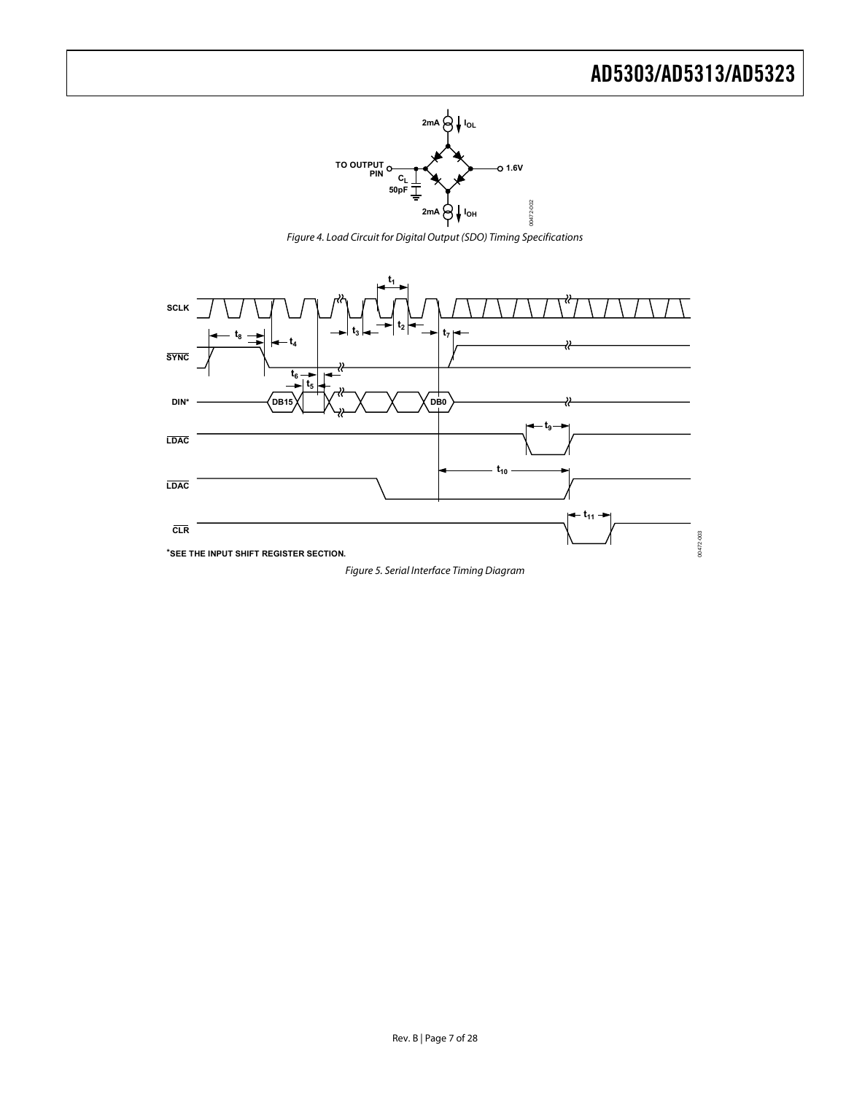

Figure 4. Load Circuit for Digital Output (SDO) Timing Specifications

<span id="page-6-1"></span><span id="page-6-0"></span>

Figure 5. Serial Interface Timing Diagram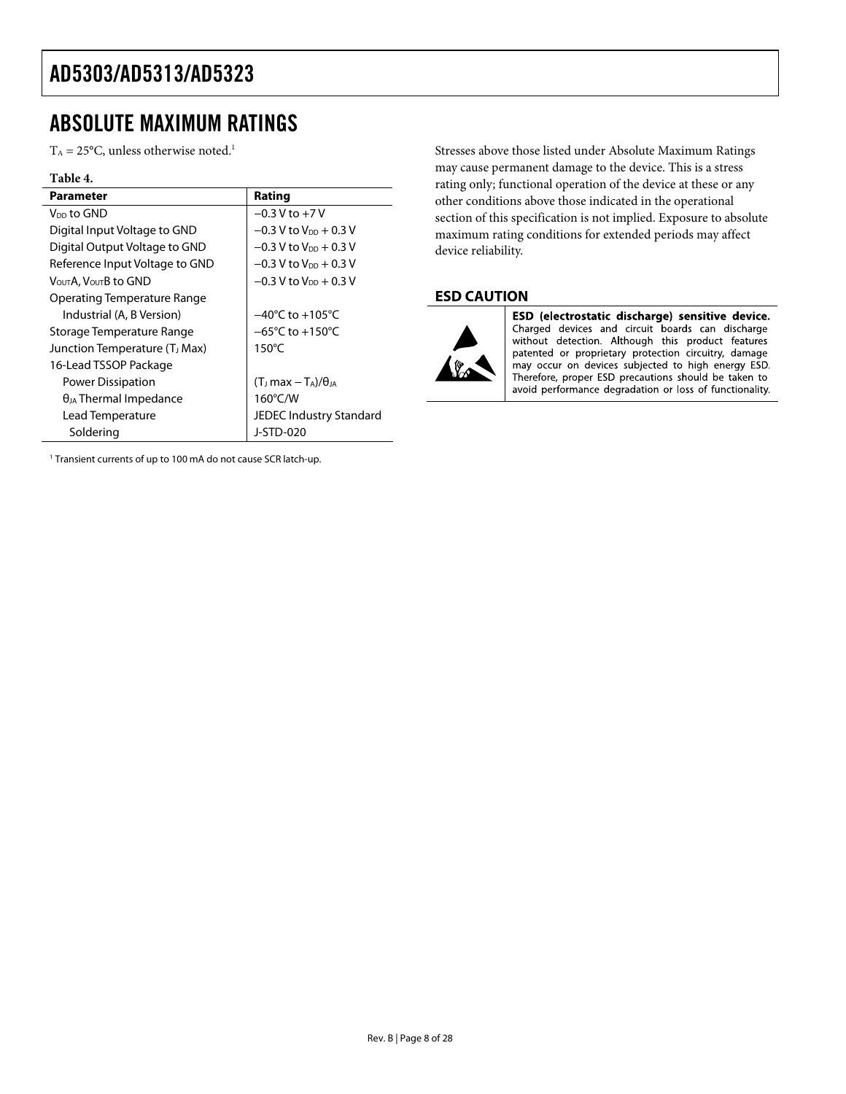## <span id="page-7-0"></span>ABSOLUTE MAXIMUM RATINGS

 $T_A = 25$ °C, unless otherwise noted.<sup>1</sup>

#### **Table 4.**

| Parameter                                 | Rating                               |
|-------------------------------------------|--------------------------------------|
| V <sub>DD</sub> to GND                    | $-0.3$ V to $+7$ V                   |
| Digital Input Voltage to GND              | $-0.3$ V to V <sub>DD</sub> $+0.3$ V |
| Digital Output Voltage to GND             | $-0.3$ V to V <sub>DD</sub> $+0.3$ V |
| Reference Input Voltage to GND            | $-0.3$ V to $V_{DD}$ + 0.3 V         |
| VουτΑ. VουτΒ to GND                       | $-0.3$ V to V <sub>DD</sub> + 0.3 V  |
| Operating Temperature Range               |                                      |
| Industrial (A, B Version)                 | $-40^{\circ}$ C to $+105^{\circ}$ C  |
| Storage Temperature Range                 | $-65^{\circ}$ C to $+150^{\circ}$ C  |
| Junction Temperature (T <sub>J</sub> Max) | $150^{\circ}$ C                      |
| 16-Lead TSSOP Package                     |                                      |
| Power Dissipation                         | $(T1 max - TA)/\thetaIA$             |
| $\theta_{JA}$ Thermal Impedance           | 160°C/W                              |
| Lead Temperature                          | JEDEC Industry Standard              |
| Soldering                                 | J-STD-020                            |

<sup>1</sup> Transient currents of up to 100 mA do not cause SCR latch-up.

Stresses above those listed under Absolute Maximum Ratings may cause permanent damage to the device. This is a stress rating only; functional operation of the device at these or any other conditions above those indicated in the operational section of this specification is not implied. Exposure to absolute maximum rating conditions for extended periods may affect device reliability.

### **ESD CAUTION**



ESD (electrostatic discharge) sensitive device. Charged devices and circuit boards can discharge<br>without detection. Although this product features patented or proprietary protection circuitry, damage may occur on devices subjected to high energy ESD. Therefore, proper ESD precautions should be taken to avoid performance degradation or loss of functionality.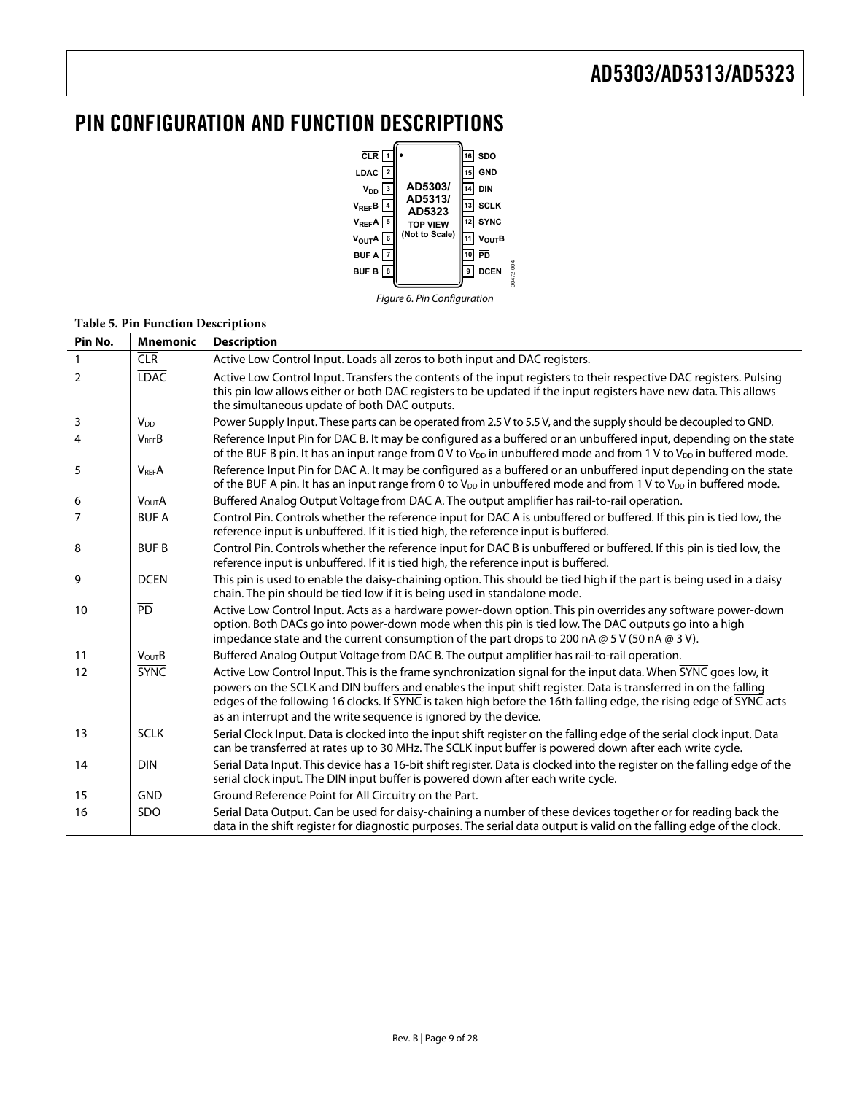## <span id="page-8-0"></span>PIN CONFIGURATION AND FUNCTION DESCRIPTIONS



Figure 6. Pin Configuration

| Pin No.        | <b>Mnemonic</b>         | <b>Description</b>                                                                                                                                                                                                                                                                                                                                                                                                        |
|----------------|-------------------------|---------------------------------------------------------------------------------------------------------------------------------------------------------------------------------------------------------------------------------------------------------------------------------------------------------------------------------------------------------------------------------------------------------------------------|
| $\mathbf{1}$   | <b>CLR</b>              | Active Low Control Input. Loads all zeros to both input and DAC registers.                                                                                                                                                                                                                                                                                                                                                |
| $\overline{2}$ | <b>LDAC</b>             | Active Low Control Input. Transfers the contents of the input registers to their respective DAC registers. Pulsing<br>this pin low allows either or both DAC registers to be updated if the input registers have new data. This allows<br>the simultaneous update of both DAC outputs.                                                                                                                                    |
| 3              | <b>V<sub>DD</sub></b>   | Power Supply Input. These parts can be operated from 2.5 V to 5.5 V, and the supply should be decoupled to GND.                                                                                                                                                                                                                                                                                                           |
| 4              | $V_{REF}B$              | Reference Input Pin for DAC B. It may be configured as a buffered or an unbuffered input, depending on the state<br>of the BUF B pin. It has an input range from 0 V to $V_{DD}$ in unbuffered mode and from 1 V to $V_{DD}$ in buffered mode.                                                                                                                                                                            |
| 5              | <b>V<sub>REF</sub>A</b> | Reference Input Pin for DAC A. It may be configured as a buffered or an unbuffered input depending on the state<br>of the BUF A pin. It has an input range from 0 to $V_{DD}$ in unbuffered mode and from 1 V to $V_{DD}$ in buffered mode.                                                                                                                                                                               |
| 6              | <b>VOUTA</b>            | Buffered Analog Output Voltage from DAC A. The output amplifier has rail-to-rail operation.                                                                                                                                                                                                                                                                                                                               |
| 7              | <b>BUFA</b>             | Control Pin. Controls whether the reference input for DAC A is unbuffered or buffered. If this pin is tied low, the<br>reference input is unbuffered. If it is tied high, the reference input is buffered.                                                                                                                                                                                                                |
| 8              | <b>BUFB</b>             | Control Pin. Controls whether the reference input for DAC B is unbuffered or buffered. If this pin is tied low, the<br>reference input is unbuffered. If it is tied high, the reference input is buffered.                                                                                                                                                                                                                |
| 9              | <b>DCEN</b>             | This pin is used to enable the daisy-chaining option. This should be tied high if the part is being used in a daisy<br>chain. The pin should be tied low if it is being used in standalone mode.                                                                                                                                                                                                                          |
| 10             | $\overline{PD}$         | Active Low Control Input. Acts as a hardware power-down option. This pin overrides any software power-down<br>option. Both DACs go into power-down mode when this pin is tied low. The DAC outputs go into a high<br>impedance state and the current consumption of the part drops to 200 nA $@$ 5 V (50 nA $@$ 3 V).                                                                                                     |
| 11             | <b>VoutB</b>            | Buffered Analog Output Voltage from DAC B. The output amplifier has rail-to-rail operation.                                                                                                                                                                                                                                                                                                                               |
| 12             | <b>SYNC</b>             | Active Low Control Input. This is the frame synchronization signal for the input data. When SYNC goes low, it<br>powers on the SCLK and DIN buffers and enables the input shift register. Data is transferred in on the falling<br>edges of the following 16 clocks. If SYNC is taken high before the 16th falling edge, the rising edge of SYNC acts<br>as an interrupt and the write sequence is ignored by the device. |
| 13             | <b>SCLK</b>             | Serial Clock Input. Data is clocked into the input shift register on the falling edge of the serial clock input. Data<br>can be transferred at rates up to 30 MHz. The SCLK input buffer is powered down after each write cycle.                                                                                                                                                                                          |
| 14             | <b>DIN</b>              | Serial Data Input. This device has a 16-bit shift register. Data is clocked into the register on the falling edge of the<br>serial clock input. The DIN input buffer is powered down after each write cycle.                                                                                                                                                                                                              |
| 15             | <b>GND</b>              | Ground Reference Point for All Circuitry on the Part.                                                                                                                                                                                                                                                                                                                                                                     |
| 16             | <b>SDO</b>              | Serial Data Output. Can be used for daisy-chaining a number of these devices together or for reading back the<br>data in the shift register for diagnostic purposes. The serial data output is valid on the falling edge of the clock.                                                                                                                                                                                    |

#### **Table 5. Pin Function Descriptions**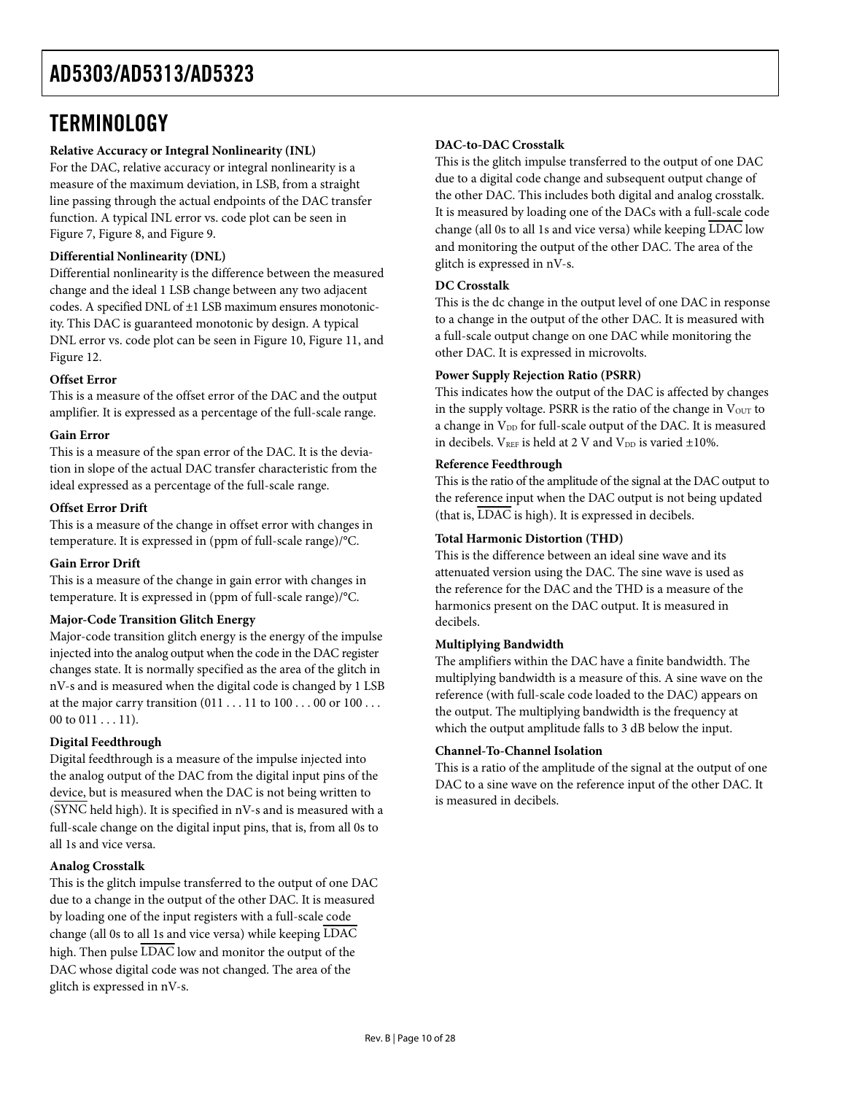## <span id="page-9-1"></span><span id="page-9-0"></span>**TERMINOLOGY**

### **Relative Accuracy or Integral Nonlinearity (INL)**

For the DAC, relative accuracy or integral nonlinearity is a measure of the maximum deviation, in LSB, from a straight line passing through the actual endpoints of the DAC transfer function. A typical INL error vs. code plot can be seen in [Figure 7](#page-10-1), [Figure 8](#page-10-2), and [Figure 9](#page-10-3).

### **Differential Nonlinearity (DNL)**

Differential nonlinearity is the difference between the measured change and the ideal 1 LSB change between any two adjacent codes. A specified DNL of ±1 LSB maximum ensures monotonicity. This DAC is guaranteed monotonic by design. A typical DNL error vs. code plot can be seen in [Figure 10](#page-10-1), [Figure 11](#page-10-2), and [Figure 12](#page-10-4).

### **Offset Error**

This is a measure of the offset error of the DAC and the output amplifier. It is expressed as a percentage of the full-scale range.

### **Gain Error**

This is a measure of the span error of the DAC. It is the deviation in slope of the actual DAC transfer characteristic from the ideal expressed as a percentage of the full-scale range.

### **Offset Error Drift**

This is a measure of the change in offset error with changes in temperature. It is expressed in (ppm of full-scale range)/°C.

### **Gain Error Drift**

This is a measure of the change in gain error with changes in temperature. It is expressed in (ppm of full-scale range)/°C.

### **Major-Code Transition Glitch Energy**

Major-code transition glitch energy is the energy of the impulse injected into the analog output when the code in the DAC register changes state. It is normally specified as the area of the glitch in nV-s and is measured when the digital code is changed by 1 LSB at the major carry transition  $(011 \dots 11$  to  $100 \dots 00$  or  $100 \dots$ 00 to  $011...11$ ).

### **Digital Feedthrough**

Digital feedthrough is a measure of the impulse injected into the analog output of the DAC from the digital input pins of the device, but is measured when the DAC is not being written to (SYNC held high). It is specified in nV-s and is measured with a full-scale change on the digital input pins, that is, from all 0s to all 1s and vice versa.

### **Analog Crosstalk**

This is the glitch impulse transferred to the output of one DAC due to a change in the output of the other DAC. It is measured by loading one of the input registers with a full-scale code change (all 0s to all 1s and vice versa) while keeping LDAC high. Then pulse  $\overline{\text{LDAC}}$  low and monitor the output of the DAC whose digital code was not changed. The area of the glitch is expressed in nV-s.

### **DAC-to-DAC Crosstalk**

This is the glitch impulse transferred to the output of one DAC due to a digital code change and subsequent output change of the other DAC. This includes both digital and analog crosstalk. It is measured by loading one of the DACs with a full-scale code change (all 0s to all 1s and vice versa) while keeping LDAC low and monitoring the output of the other DAC. The area of the glitch is expressed in nV-s.

### **DC Crosstalk**

This is the dc change in the output level of one DAC in response to a change in the output of the other DAC. It is measured with a full-scale output change on one DAC while monitoring the other DAC. It is expressed in microvolts.

### **Power Supply Rejection Ratio (PSRR)**

This indicates how the output of the DAC is affected by changes in the supply voltage. PSRR is the ratio of the change in  $V_{\text{OUT}}$  to a change in V<sub>DD</sub> for full-scale output of the DAC. It is measured in decibels.  $V_{REF}$  is held at 2 V and  $V_{DD}$  is varied  $\pm 10\%$ .

### **Reference Feedthrough**

This is the ratio of the amplitude of the signal at the DAC output to the reference input when the DAC output is not being updated (that is, LDAC is high). It is expressed in decibels.

### **Total Harmonic Distortion (THD)**

This is the difference between an ideal sine wave and its attenuated version using the DAC. The sine wave is used as the reference for the DAC and the THD is a measure of the harmonics present on the DAC output. It is measured in decibels.

### **Multiplying Bandwidth**

The amplifiers within the DAC have a finite bandwidth. The multiplying bandwidth is a measure of this. A sine wave on the reference (with full-scale code loaded to the DAC) appears on the output. The multiplying bandwidth is the frequency at which the output amplitude falls to 3 dB below the input.

### **Channel-To-Channel Isolation**

This is a ratio of the amplitude of the signal at the output of one DAC to a sine wave on the reference input of the other DAC. It is measured in decibels.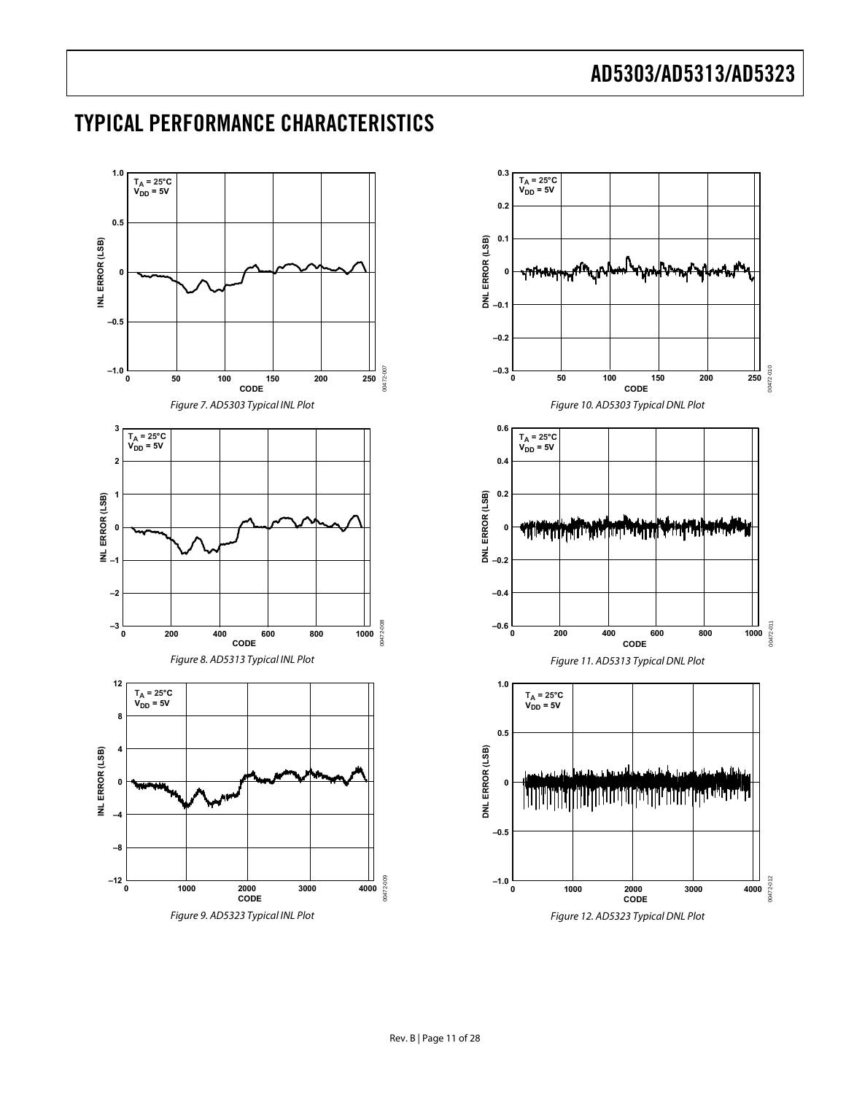### <span id="page-10-4"></span><span id="page-10-3"></span><span id="page-10-2"></span><span id="page-10-1"></span>**1.0** T<sub>A</sub> = 25°C<br>V<sub>DD</sub> = 5V **0.5** INL ERROR (LSB) **INL ERROR (LSB) 0 –0.5** 00472-007 00472-007 **–1.0 <sup>0</sup> 50 100 150 200 250 CODE** Figure 7. AD5303 Typical INL Plot **[3](#page-19-0)** T<sub>A</sub> = 25[°C](#page-19-0)<br>V<sub>DD</sub> = 5V **[2](#page-19-0) [1](#page-19-0)** INL ERROR (LSB) **INL ERROR (LSB) [0](#page-19-0) [–1](#page-19-0) [–2](#page-19-0)** 00172-008 00472-008 **[–3](#page-19-0) [0 200 400 600 800 1000](#page-19-0) CODE** Figure 8. AD5313 Typical INL Plot **[12](#page-19-0)**  $T_A = 25^\circ \text{C}$  $V_{DD} = 5V$ **[8](#page-19-0)** INL ERROR (LSB) **[4](#page-19-0) INL ERROR (LSB) [0](#page-19-0) [–4](#page-19-0) [–8](#page-19-0)** 00472-009 [00472-009](#page-19-0) **[–12](#page-19-0) <sup>0</sup> [1000](#page-19-0) <sup>2000</sup> <sup>3000</sup> <sup>4000</sup> CODE** Figure 9. AD5323 Typical INL Plot

<span id="page-10-0"></span>TYPICAL PERFORMANCE CHARACTERISTICS

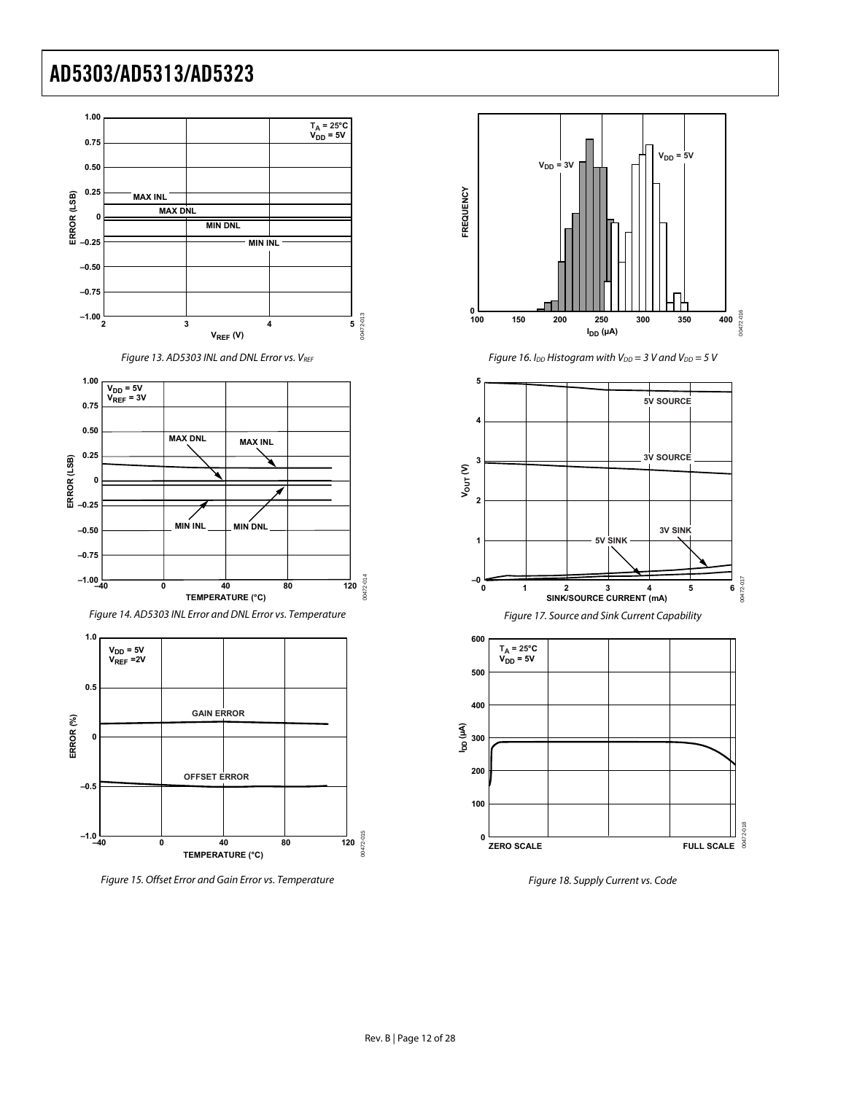

<span id="page-11-0"></span>Figure 15. Offset Error and Gain Error vs. Temperature



Figure 16. I<sub>DD</sub> Histogram with V<sub>DD</sub> = 3 V and V<sub>DD</sub> = 5 V



Figure 18. Supply Current vs. Code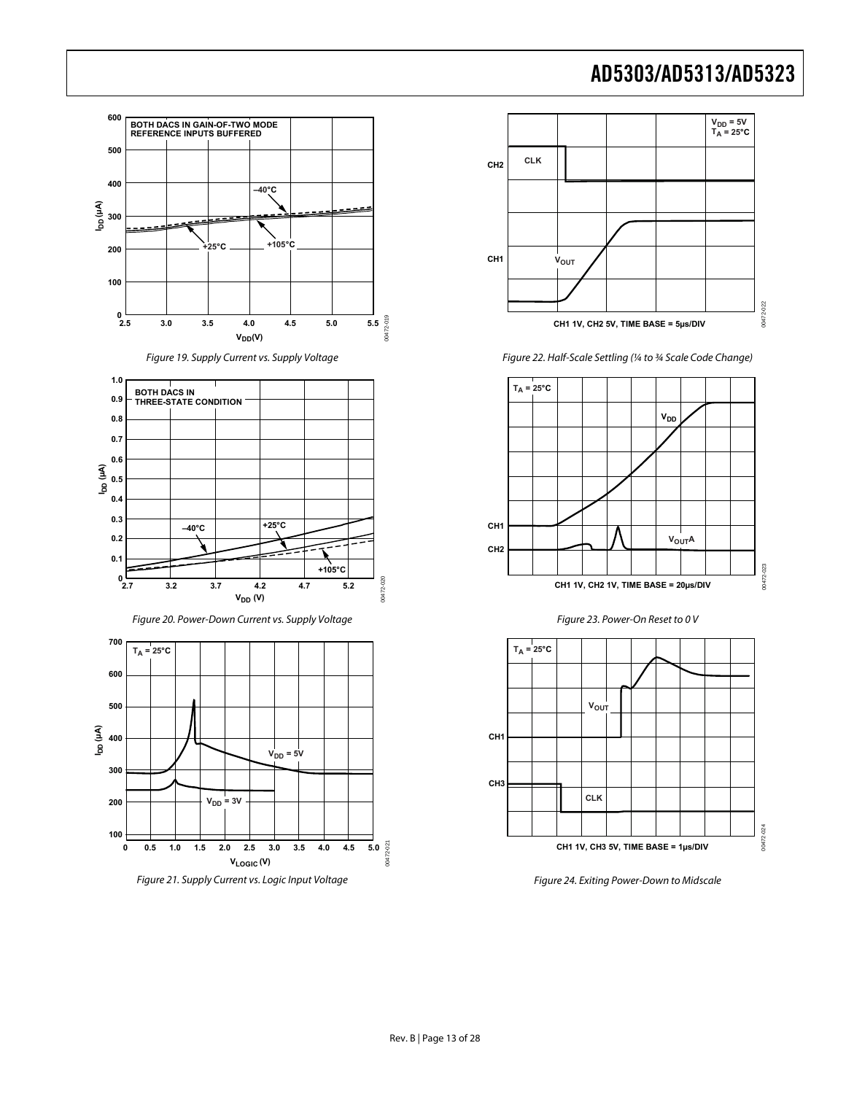

<span id="page-12-0"></span>



Figure 22. Half-Scale Settling (¼ to ¾ Scale Code Change)







Figure 24. Exiting Power-Down to Midscale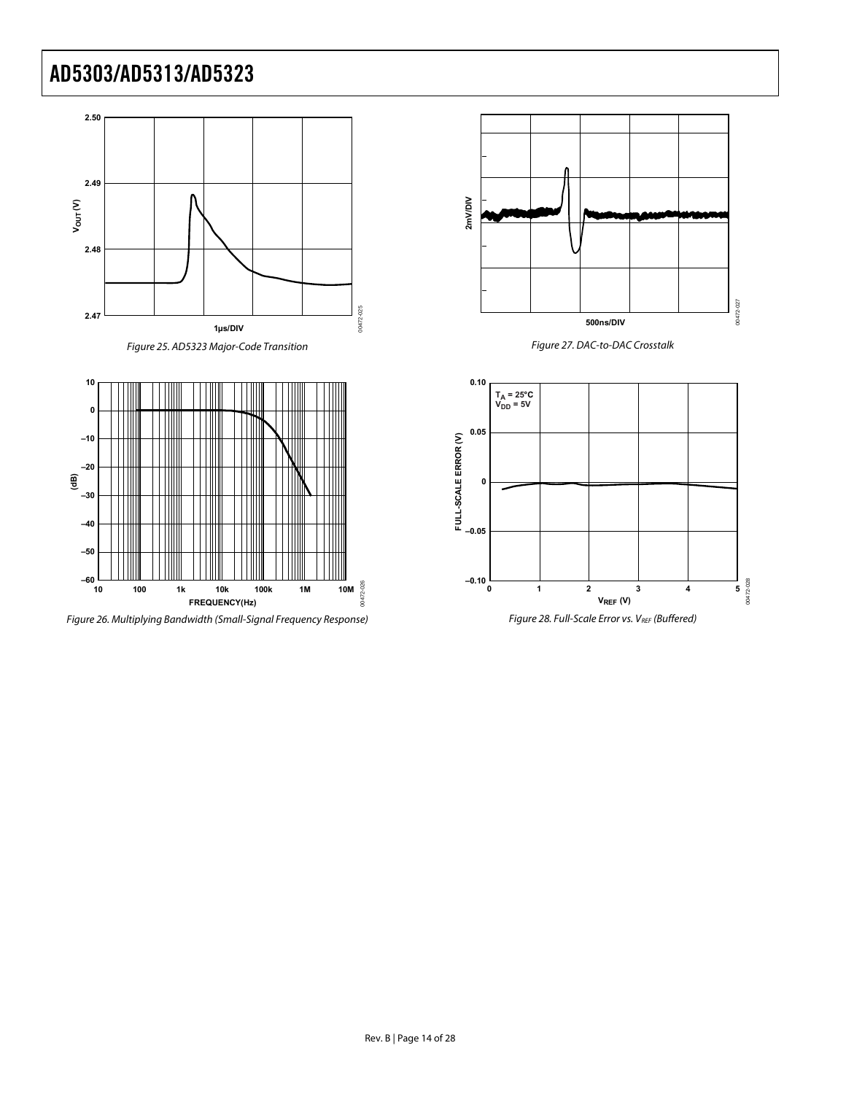



Figure 26. Multiplying Bandwidth (Small-Signal Frequency Response) Figure 28. Full-Scale Error vs. VREF (Buffered)



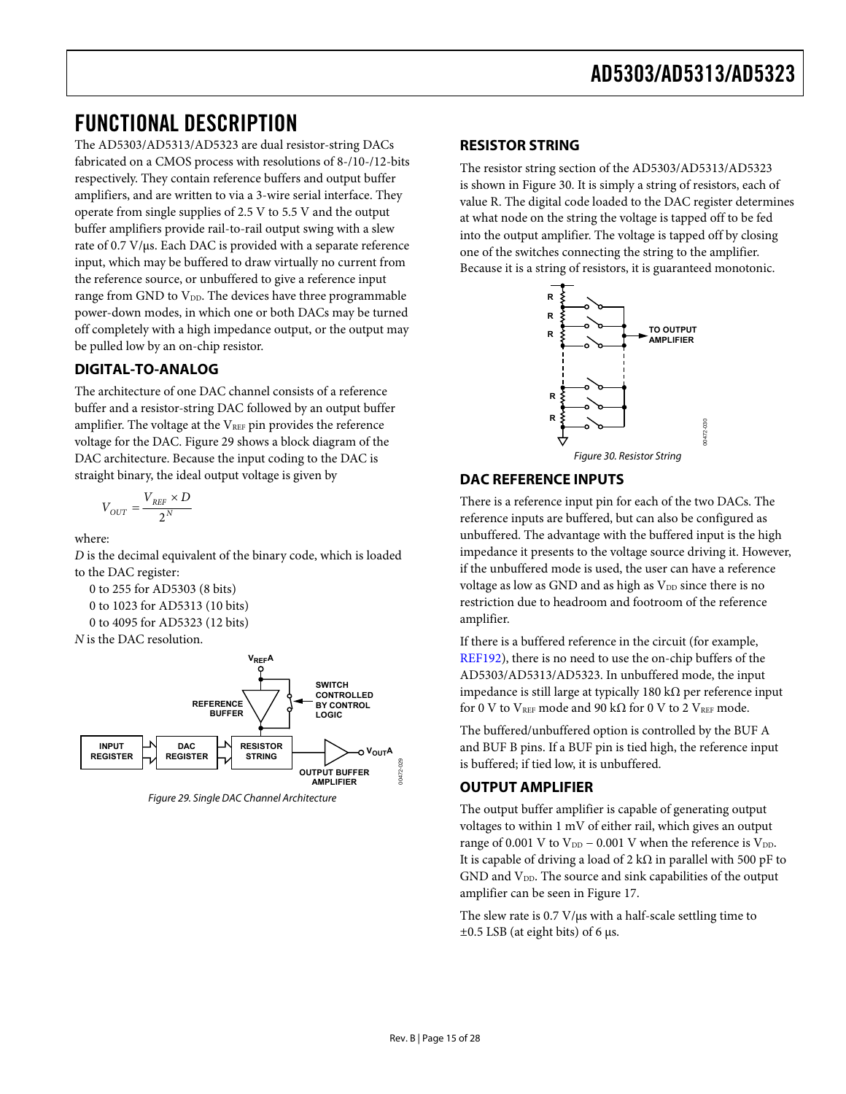## <span id="page-14-1"></span><span id="page-14-0"></span>FUNCTIONAL DESCRIPTION

The AD5303/AD5313/AD5323 are dual resistor-string DACs fabricated on a CMOS process with resolutions of 8-/10-/12-bits respectively. They contain reference buffers and output buffer amplifiers, and are written to via a 3-wire serial interface. They operate from single supplies of 2.5 V to 5.5 V and the output buffer amplifiers provide rail-to-rail output swing with a slew rate of 0.7 V/μs. Each DAC is provided with a separate reference input, which may be buffered to draw virtually no current from the reference source, or unbuffered to give a reference input range from GND to  $V_{DD}$ . The devices have three programmable power-down modes, in which one or both DACs may be turned off completely with a high impedance output, or the output may be pulled low by an on-chip resistor.

### **DIGITAL-TO-ANALOG**

<span id="page-14-3"></span>The architecture of one DAC channel consists of a reference buffer and a resistor-string DAC followed by an output buffer amplifier. The voltage at the  $V_{REF}$  pin provides the reference voltage for the DAC. [Figure 29](#page-14-2) shows a block diagram of the DAC architecture. Because the input coding to the DAC is straight binary, the ideal output voltage is given by

$$
V_{OUT} = \frac{V_{REF} \times D}{2^N}
$$

where:

*D* is the decimal equivalent of the binary code, which is loaded to the DAC register:

 0 to 255 for AD5303 (8 bits) 0 to 1023 for AD5313 (10 bits) 0 to 4095 for AD5323 (12 bits)





<span id="page-14-2"></span>Figure 29. Single DAC Channel Architecture

### **RESISTOR STRING**

The resistor string section of the AD5303/AD5313/AD5323 is shown in [Figure 30.](#page-14-3) It is simply a string of resistors, each of value R. The digital code loaded to the DAC register determines at what node on the string the voltage is tapped off to be fed into the output amplifier. The voltage is tapped off by closing one of the switches connecting the string to the amplifier. Because it is a string of resistors, it is guaranteed monotonic.



### **DAC REFERENCE INPUTS**

There is a reference input pin for each of the two DACs. The reference inputs are buffered, but can also be configured as unbuffered. The advantage with the buffered input is the high impedance it presents to the voltage source driving it. However, if the unbuffered mode is used, the user can have a reference voltage as low as GND and as high as V<sub>DD</sub> since there is no restriction due to headroom and footroom of the reference amplifier.

If there is a buffered reference in the circuit (for example, [REF192](http://www.analog.com/REF192)), there is no need to use the on-chip buffers of the AD5303/AD5313/AD5323. In unbuffered mode, the input impedance is still large at typically 180 kΩ per reference input for 0 V to VREF mode and 90 k $\Omega$  for 0 V to 2 VREF mode.

The buffered/unbuffered option is controlled by the BUF A and BUF B pins. If a BUF pin is tied high, the reference input is buffered; if tied low, it is unbuffered.

### **OUTPUT AMPLIFIER**

The output buffer amplifier is capable of generating output voltages to within 1 mV of either rail, which gives an output range of 0.001 V to V $_{\rm DD}$  – 0.001 V when the reference is V $_{\rm DD}$ It is capable of driving a load of 2 k $\Omega$  in parallel with 500 pF to GND and V<sub>DD</sub>. The source and sink capabilities of the output amplifier can be seen in [Figure 17.](#page-11-0)

The slew rate is 0.7 V/μs with a half-scale settling time to  $\pm 0.5$  LSB (at eight bits) of 6 μs.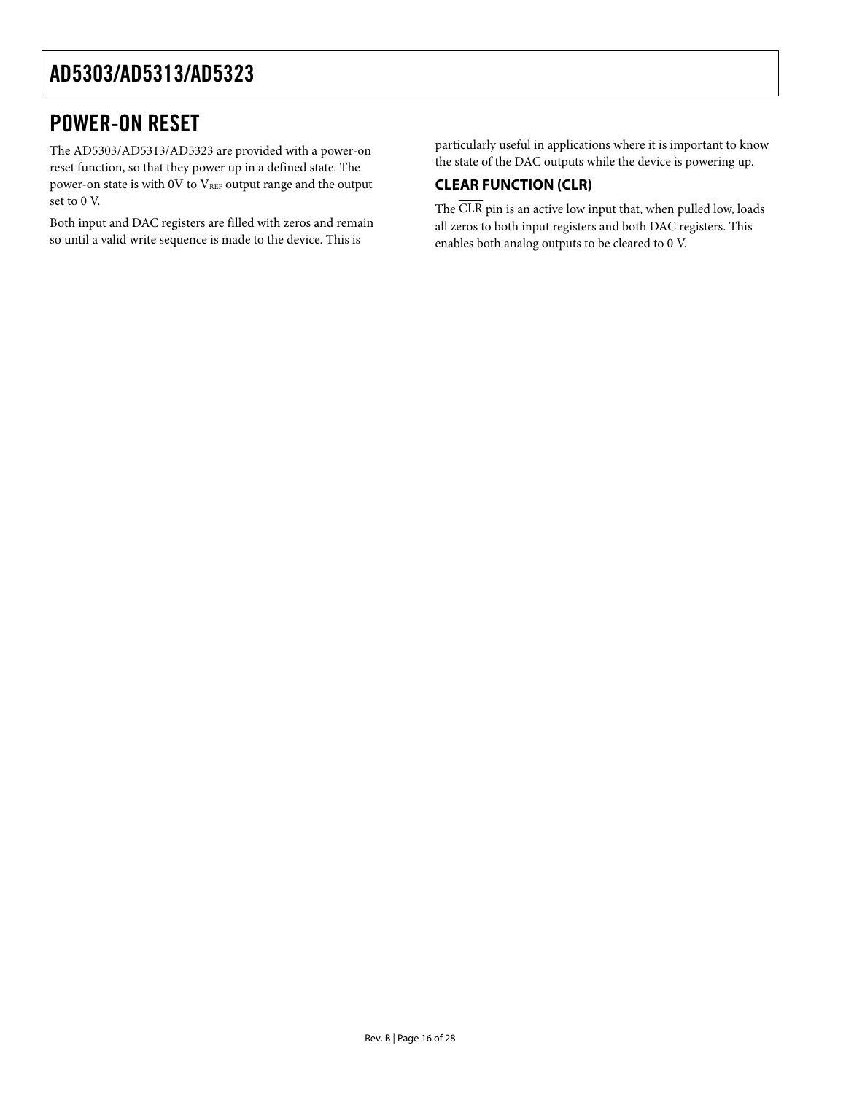## <span id="page-15-0"></span>POWER-ON RESET

The AD5303/AD5313/AD5323 are provided with a power-on reset function, so that they power up in a defined state. The power-on state is with 0V to VREF output range and the output set to 0 V.

Both input and DAC registers are filled with zeros and remain so until a valid write sequence is made to the device. This is

particularly useful in applications where it is important to know the state of the DAC outputs while the device is powering up.

### **CLEAR FUNCTION (CLR)**

The CLR pin is an active low input that, when pulled low, loads all zeros to both input registers and both DAC registers. This enables both analog outputs to be cleared to 0 V.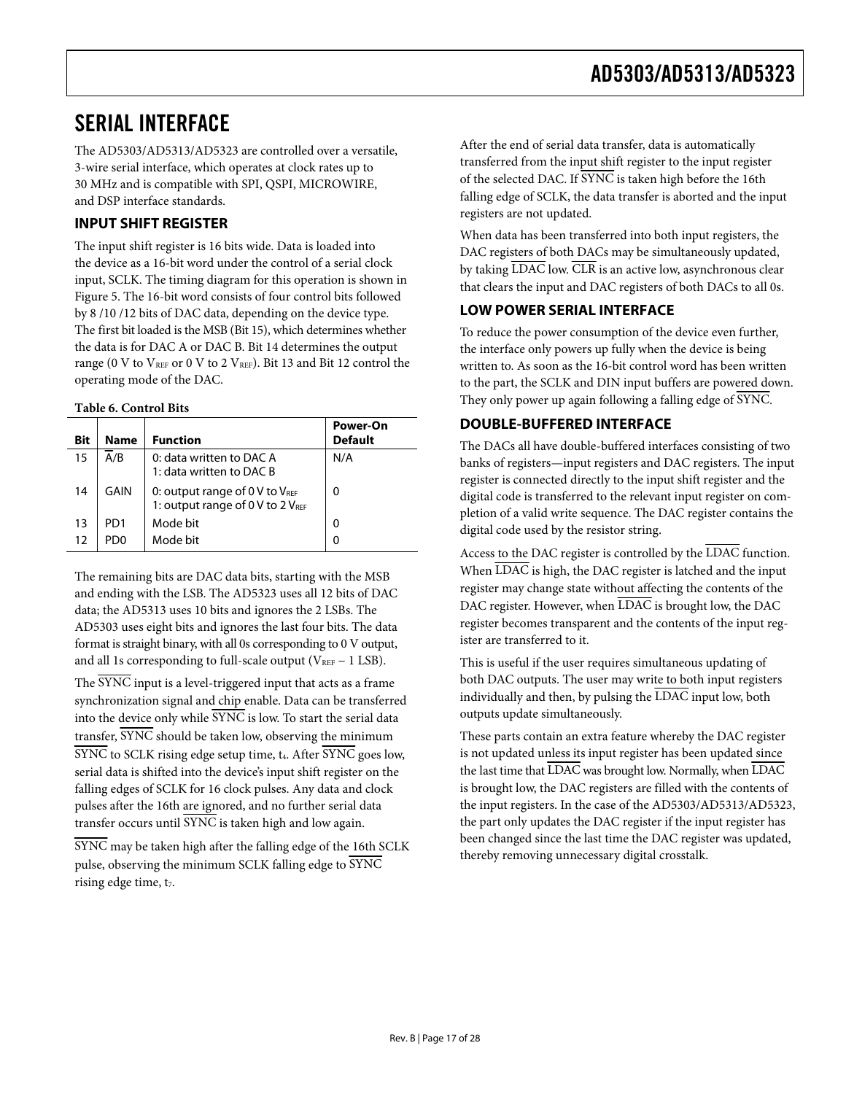## <span id="page-16-1"></span><span id="page-16-0"></span>SERIAL INTERFACE

The AD5303/AD5313/AD5323 are controlled over a versatile, 3-wire serial interface, which operates at clock rates up to 30 MHz and is compatible with SPI, QSPI, MICROWIRE, and DSP interface standards.

### **INPUT SHIFT REGISTER**

The input shift register is 16 bits wide. Data is loaded into the device as a 16-bit word under the control of a serial clock input, SCLK. The timing diagram for this operation is shown in [Figure 5](#page-6-1). The 16-bit word consists of four control bits followed by 8 /10 /12 bits of DAC data, depending on the device type. The first bit loaded is the MSB (Bit 15), which determines whether the data is for DAC A or DAC B. Bit 14 determines the output range (0 V to VREF or 0 V to 2 VREF). Bit 13 and Bit 12 control the operating mode of the DAC.

### **Table 6. Control Bits**

| <b>Bit</b> | <b>Name</b> | <b>Function</b>                                                    | Power-On<br><b>Default</b> |
|------------|-------------|--------------------------------------------------------------------|----------------------------|
| 15         | A/B         | 0: data written to DAC A<br>1: data written to DAC B               | N/A                        |
| 14         | GAIN        | 0: output range of 0 V to VREF<br>1: output range of 0 V to 2 VREF | O                          |
| 13         | PD1         | Mode bit                                                           | 0                          |
| 12         | PD0         | Mode bit                                                           | O                          |

The remaining bits are DAC data bits, starting with the MSB and ending with the LSB. The AD5323 uses all 12 bits of DAC data; the AD5313 uses 10 bits and ignores the 2 LSBs. The AD5303 uses eight bits and ignores the last four bits. The data format is straight binary, with all 0s corresponding to 0 V output, and all 1s corresponding to full-scale output ( $V_{REF}$  – 1 LSB).

The SYNC input is a level-triggered input that acts as a frame synchronization signal and chip enable. Data can be transferred into the device only while SYNC is low. To start the serial data transfer, SYNC should be taken low, observing the minimum  $\overline{\text{SYNC}}$  to SCLK rising edge setup time,  $t_4$ . After  $\overline{\text{SYNC}}$  goes low, serial data is shifted into the device's input shift register on the falling edges of SCLK for 16 clock pulses. Any data and clock pulses after the 16th are ignored, and no further serial data transfer occurs until  $\overline{\text{SYNC}}$  is taken high and low again.

SYNC may be taken high after the falling edge of the 16th SCLK pulse, observing the minimum SCLK falling edge to SYNC rising edge time, t<sub>7</sub>.

After the end of serial data transfer, data is automatically transferred from the input shift register to the input register of the selected DAC. If SYNC is taken high before the 16th falling edge of SCLK, the data transfer is aborted and the input registers are not updated.

When data has been transferred into both input registers, the DAC registers of both DACs may be simultaneously updated, by taking LDAC low. CLR is an active low, asynchronous clear that clears the input and DAC registers of both DACs to all 0s.

### **LOW POWER SERIAL INTERFACE**

To reduce the power consumption of the device even further, the interface only powers up fully when the device is being written to. As soon as the 16-bit control word has been written to the part, the SCLK and DIN input buffers are powered down. They only power up again following a falling edge of SYNC.

### **DOUBLE-BUFFERED INTERFACE**

The DACs all have double-buffered interfaces consisting of two banks of registers—input registers and DAC registers. The input register is connected directly to the input shift register and the digital code is transferred to the relevant input register on completion of a valid write sequence. The DAC register contains the digital code used by the resistor string.

Access to the DAC register is controlled by the LDAC function. When  $\overline{\text{LDAC}}$  is high, the DAC register is latched and the input register may change state without affecting the contents of the DAC register. However, when LDAC is brought low, the DAC register becomes transparent and the contents of the input register are transferred to it.

This is useful if the user requires simultaneous updating of both DAC outputs. The user may write to both input registers individually and then, by pulsing the LDAC input low, both outputs update simultaneously.

These parts contain an extra feature whereby the DAC register is not updated unless its input register has been updated since the last time that LDAC was brought low. Normally, when LDAC is brought low, the DAC registers are filled with the contents of the input registers. In the case of the AD5303/AD5313/AD5323, the part only updates the DAC register if the input register has been changed since the last time the DAC register was updated, thereby removing unnecessary digital crosstalk.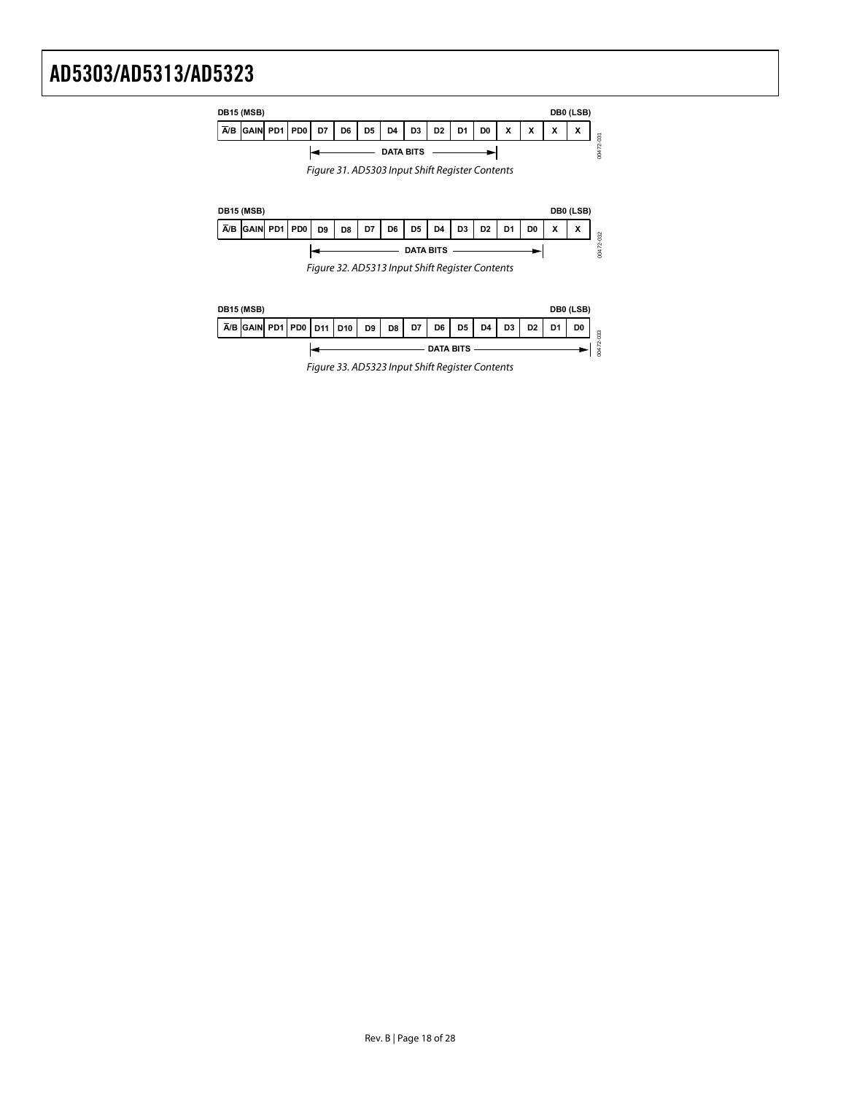| DB15 (MSB)       |                               |  |  |    |    |                |                |                |                |                |                | DB0 (LSB) |                 |                   |   |   |
|------------------|-------------------------------|--|--|----|----|----------------|----------------|----------------|----------------|----------------|----------------|-----------|-----------------|-------------------|---|---|
|                  | $\overline{A/B}$ GAIN PD1 PD0 |  |  | D7 | D6 | D <sub>5</sub> | D <sub>4</sub> | D <sub>3</sub> | D <sub>2</sub> | D <sub>1</sub> | D <sub>0</sub> | v<br>́    | $\check{}$<br>́ | $\checkmark$<br>́ | X | 5 |
| <b>DATA BITS</b> |                               |  |  |    |    |                |                |                |                |                |                |           |                 |                   |   |   |

Figure 31. AD5303 Input Shift Register Contents



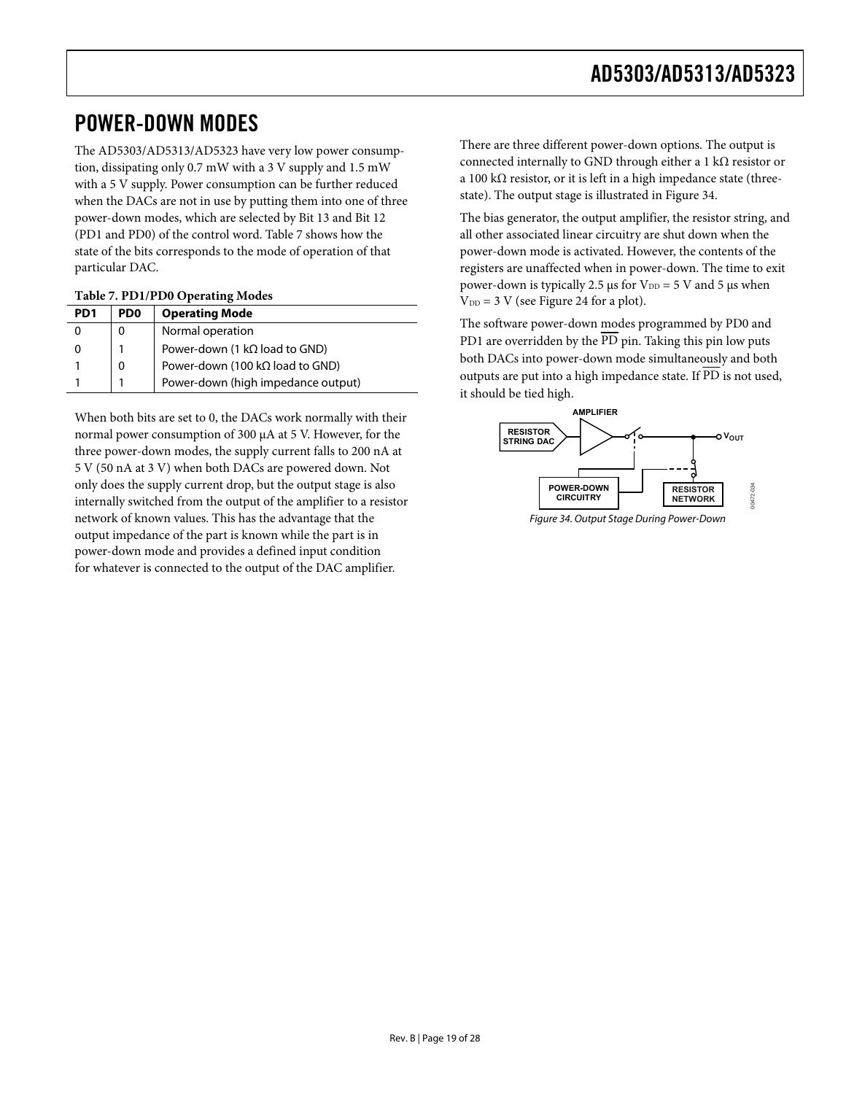## <span id="page-18-0"></span>POWER-DOWN MODES

The AD5303/AD5313/AD5323 have very low power consumption, dissipating only 0.7 mW with a 3 V supply and 1.5 mW with a 5 V supply. Power consumption can be further reduced when the DACs are not in use by putting them into one of three power-down modes, which are selected by Bit 13 and Bit 12 (PD1 and PD0) of the control word. Table 7 shows how the state of the bits corresponds to the mode of operation of that particular DAC.

#### **Table 7. PD1/PD0 Operating Modes**

| PD <sub>1</sub> | PD <sub>0</sub> | <b>Operating Mode</b>                   |
|-----------------|-----------------|-----------------------------------------|
|                 |                 | Normal operation                        |
| O)              |                 | Power-down (1 $k\Omega$ load to GND)    |
|                 |                 | Power-down (100 k $\Omega$ load to GND) |
|                 |                 | Power-down (high impedance output)      |

<span id="page-18-1"></span>When both bits are set to 0, the DACs work normally with their normal power consumption of 300 μA at 5 V. However, for the three power-down modes, the supply current falls to 200 nA at 5 V (50 nA at 3 V) when both DACs are powered down. Not only does the supply current drop, but the output stage is also internally switched from the output of the amplifier to a resistor network of known values. This has the advantage that the output impedance of the part is known while the part is in power-down mode and provides a defined input condition for whatever is connected to the output of the DAC amplifier.

There are three different power-down options. The output is connected internally to GND through either a 1 k $\Omega$  resistor or a 100 k $\Omega$  resistor, or it is left in a high impedance state (threestate). The output stage is illustrated in [Figure 34](#page-18-1).

The bias generator, the output amplifier, the resistor string, and all other associated linear circuitry are shut down when the power-down mode is activated. However, the contents of the registers are unaffected when in power-down. The time to exit power-down is typically 2.5 μs for  $V_{DD} = 5$  V and 5 μs when  $V_{DD} = 3$  V (see [Figure 24](#page-12-0) for a plot).

The software power-down modes programmed by PD0 and PD1 are overridden by the  $\overline{PD}$  pin. Taking this pin low puts both DACs into power-down mode simultaneously and both outputs are put into a high impedance state. If PD is not used, it should be tied high.



Figure 34. Output Stage During Power-Down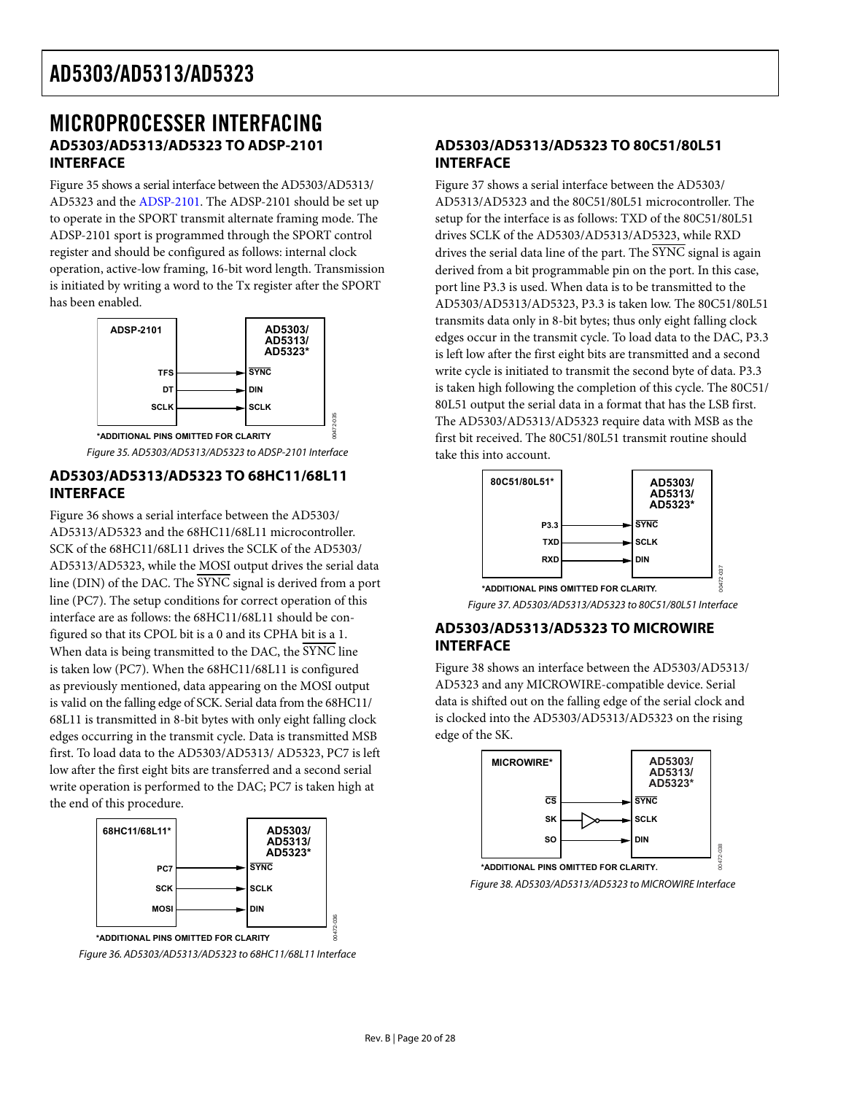## <span id="page-19-1"></span><span id="page-19-0"></span>MICROPROCESSER INTERFACING **AD5303/AD5313/AD5323 TO ADSP-2101 INTERFACE**

[Figure 35](#page-19-2) shows a serial interface between the AD5303/AD5313/ AD5323 and the [ADSP-2101.](www.analog.com/adsp-2101) The [ADSP-2101](http://www.analog.com/ADSP-2101) should be set up to operate in the SPORT transmit alternate framing mode. The [ADSP-2101](http://www.analog.com/ADSP-2101) sport is programmed through the SPORT control register and should be configured as follows: internal clock operation, active-low framing, 16-bit word length. Transmission is initiated by writing a word to the Tx register after the SPORT has been enabled.



Figure 35. AD5303/AD5313/AD5323 to ADSP-2101 Interface

00472-035

### <span id="page-19-2"></span>**AD5303/AD5313/AD5323 TO 68HC11/68L11 INTERFACE**

<span id="page-19-4"></span>[Figure 36](#page-19-3) shows a serial interface between the AD5303/ AD5313/AD5323 and the 68HC11/68L11 microcontroller. SCK of the 68HC11/68L11 drives the SCLK of the AD5303/ AD5313/AD5323, while the MOSI output drives the serial data line (DIN) of the DAC. The SYNC signal is derived from a port line (PC7). The setup conditions for correct operation of this interface are as follows: the 68HC11/68L11 should be configured so that its CPOL bit is a 0 and its CPHA bit is a 1. When data is being transmitted to the DAC, the SYNC line is taken low (PC7). When the 68HC11/68L11 is configured as previously mentioned, data appearing on the MOSI output is valid on the falling edge of SCK. Serial data from the 68HC11/ 68L11 is transmitted in 8-bit bytes with only eight falling clock edges occurring in the transmit cycle. Data is transmitted MSB first. To load data to the AD5303/AD5313/ AD5323, PC7 is left low after the first eight bits are transferred and a second serial write operation is performed to the DAC; PC7 is taken high at the end of this procedure.



<span id="page-19-5"></span><span id="page-19-3"></span>Figure 36. AD5303/AD5313/AD5323 to 68HC11/68L11 Interface

### **AD5303/AD5313/AD5323 TO 80C51/80L51 INTERFACE**

[Figure 37](#page-19-4) shows a serial interface between the AD5303/ AD5313/AD5323 and the 80C51/80L51 microcontroller. The setup for the interface is as follows: TXD of the 80C51/80L51 drives SCLK of the AD5303/AD5313/AD5323, while RXD drives the serial data line of the part. The  $\overline{\text{SYNC}}$  signal is again derived from a bit programmable pin on the port. In this case, port line P3.3 is used. When data is to be transmitted to the AD5303/AD5313/AD5323, P3.3 is taken low. The 80C51/80L51 transmits data only in 8-bit bytes; thus only eight falling clock edges occur in the transmit cycle. To load data to the DAC, P3.3 is left low after the first eight bits are transmitted and a second write cycle is initiated to transmit the second byte of data. P3.3 is taken high following the completion of this cycle. The 80C51/ 80L51 output the serial data in a format that has the LSB first. The AD5303/AD5313/AD5323 require data with MSB as the first bit received. The 80C51/80L51 transmit routine should take this into account.



Figure 37. AD5303/AD5313/AD5323 to 80C51/80L51 Interface

### **AD5303/AD5313/AD5323 TO MICROWIRE INTERFACE**

[Figure 38](#page-19-5) shows an interface between the AD5303/AD5313/ AD5323 and any MICROWIRE-compatible device. Serial data is shifted out on the falling edge of the serial clock and is clocked into the AD5303/AD5313/AD5323 on the rising edge of the SK.



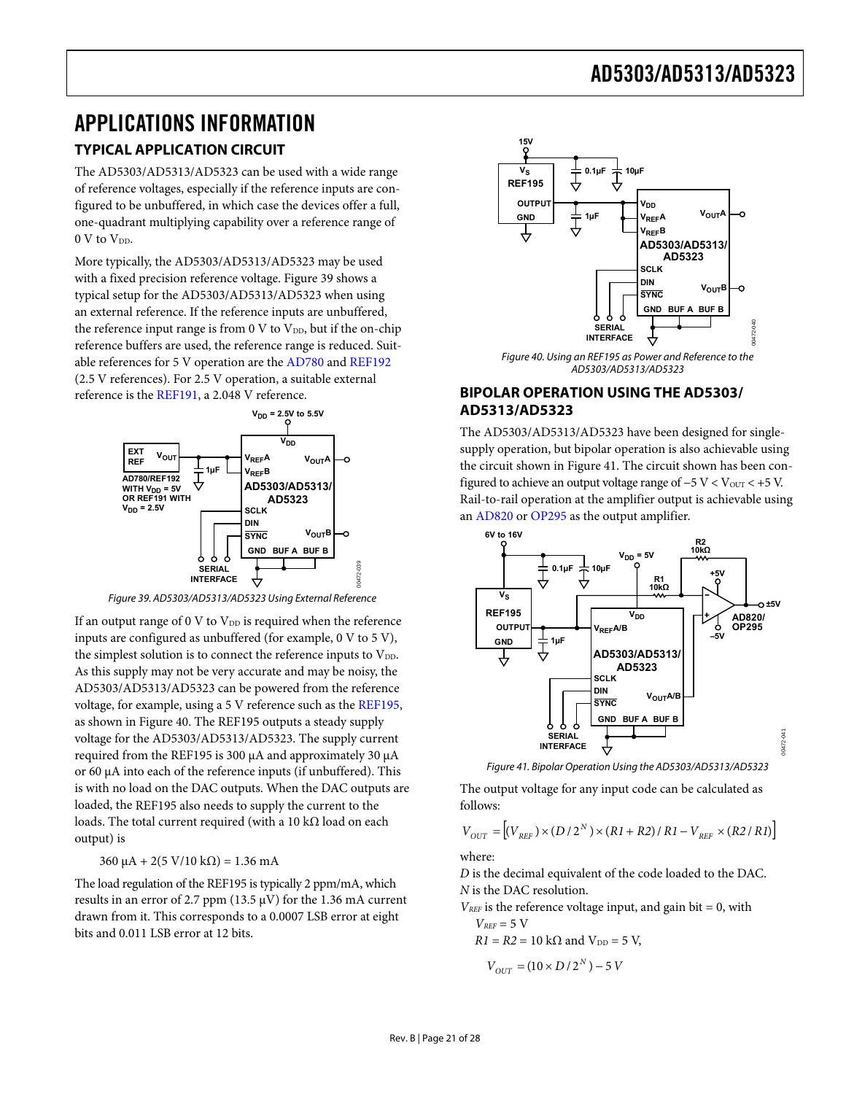## <span id="page-20-1"></span><span id="page-20-0"></span>APPLICATIONS INFORMATION

### **TYPICAL APPLICATION CIRCUIT**

The AD5303/AD5313/AD5323 can be used with a wide range of reference voltages, especially if the reference inputs are configured to be unbuffered, in which case the devices offer a full, one-quadrant multiplying capability over a reference range of 0 V to V<sub>DD</sub>.

<span id="page-20-3"></span>More typically, the AD5303/AD5313/AD5323 may be used with a fixed precision reference voltage. [Figure 39](#page-20-2) shows a typical setup for the AD5303/AD5313/AD5323 when using an external reference. If the reference inputs are unbuffered, the reference input range is from 0 V to  $V_{DD}$ , but if the on-chip reference buffers are used, the reference range is reduced. Suitable references for 5 V operation are the [AD780](http://www.analog.com/ad780) and [REF192](http://www.analog.com/REF192) (2.5 V references). For 2.5 V operation, a suitable external reference is the [REF191](http://www.analog.com/REF191), a 2.048 V reference.



Figure 39. AD5303/AD5313/AD5323 Using External Reference

<span id="page-20-2"></span>If an output range of  $0 \text{ V}$  to  $\text{V}_{\text{DD}}$  is required when the reference inputs are configured as unbuffered (for example, 0 V to 5 V), the simplest solution is to connect the reference inputs to  $V_{DD}$ . As this supply may not be very accurate and may be noisy, the AD5303/AD5313/AD5323 can be powered from the reference voltage, for example, using a 5 V reference such as the [REF195](http://www.analog.com/REF195), as shown in [Figure 40](#page-20-3). The [REF195](http://www.analog.com/REF195) outputs a steady supply voltage for the AD5303/AD5313/AD5323. The supply current required from the [REF195](http://www.analog.com/REF195) is 300 μA and approximately 30 μA or 60 μA into each of the reference inputs (if unbuffered). This is with no load on the DAC outputs. When the DAC outputs are loaded, the [REF195](http://www.analog.com/REF195) also needs to supply the current to the loads. The total current required (with a 10 kΩ load on each output) is

<span id="page-20-4"></span>360  $\mu$ A + 2(5 V/10 kΩ) = 1.36 mA

The load regulation of the [REF195](http://www.analog.com/REF195) is typically 2 ppm/mA, which results in an error of 2.7 ppm (13.5 μV) for the 1.36 mA current drawn from it. This corresponds to a 0.0007 LSB error at eight bits and 0.011 LSB error at 12 bits.



Figure 40. Using an REF195 as Power and Reference to the AD5303/AD5313/AD5323

### **BIPOLAR OPERATION USING THE AD5303/ AD5313/AD5323**

The AD5303/AD5313/AD5323 have been designed for singlesupply operation, but bipolar operation is also achievable using the circuit shown in [Figure 41](#page-20-4). The circuit shown has been configured to achieve an output voltage range of  $-5$  V < Vout <  $+5$  V. Rail-to-rail operation at the amplifier output is achievable using an [AD820](http://www.analog.com/AD820) or [OP295](http://www.analog.com/OP295) as the output amplifier.



Figure 41. Bipolar Operation Using the AD5303/AD5313/AD5323

The output voltage for any input code can be calculated as follows:

$$
V_{OUT}=\left[(V_{REF})\times(D/2^N)\times(RI+R2)/\,R1-V_{REF}\times(R2/\,R1)\right]
$$

where:

*D* is the decimal equivalent of the code loaded to the DAC. *N* is the DAC resolution.

 $V_{REF}$  is the reference voltage input, and gain bit  $= 0$ , with  $V_{REF}$  = 5 V

 $R1 = R2 = 10 \text{ k}\Omega$  and  $V_{DD} = 5 \text{ V}$ ,

$$
V_{OUT}=\left( 10\times D\,/\,2^{\,N}\,\right) -5\,V
$$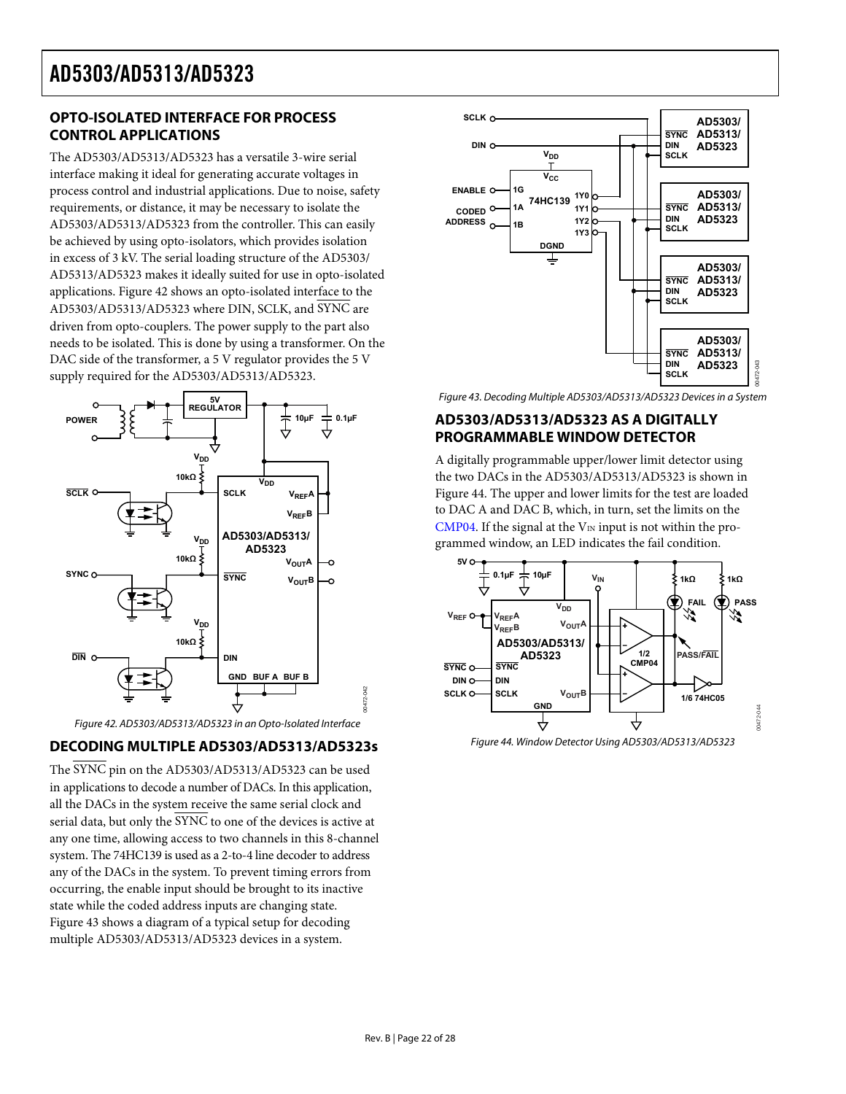### <span id="page-21-1"></span><span id="page-21-0"></span>**OPTO-ISOLATED INTERFACE FOR PROCESS CONTROL APPLICATIONS**

The AD5303/AD5313/AD5323 has a versatile 3-wire serial interface making it ideal for generating accurate voltages in process control and industrial applications. Due to noise, safety requirements, or distance, it may be necessary to isolate the AD5303/AD5313/AD5323 from the controller. This can easily be achieved by using opto-isolators, which provides isolation in excess of 3 kV. The serial loading structure of the AD5303/ AD5313/AD5323 makes it ideally suited for use in opto-isolated applications. [Figure 42](#page-21-2) shows an opto-isolated interface to the AD5303/AD5313/AD5323 where DIN, SCLK, and SYNC are driven from opto-couplers. The power supply to the part also needs to be isolated. This is done by using a transformer. On the DAC side of the transformer, a 5 V regulator provides the 5 V supply required for the AD5303/AD5313/AD5323.

<span id="page-21-3"></span>

Figure 42. AD5303/AD5313/AD5323 in an Opto-Isolated Interface

### <span id="page-21-4"></span><span id="page-21-2"></span>**DECODING MULTIPLE AD5303/AD5313/AD5323s**

The SYNC pin on the AD5303/AD5313/AD5323 can be used in applications to decode a number of DACs. In this application, all the DACs in the system receive the same serial clock and serial data, but only the SYNC to one of the devices is active at any one time, allowing access to two channels in this 8-channel system. The 74HC139 is used as a 2-to-4 line decoder to address any of the DACs in the system. To prevent timing errors from occurring, the enable input should be brought to its inactive state while the coded address inputs are changing state. [Figure 43](#page-21-3) shows a diagram of a typical setup for decoding multiple AD5303/AD5313/AD5323 devices in a system.



Figure 43. Decoding Multiple AD5303/AD5313/AD5323 Devices in a System

### **AD5303/AD5313/AD5323 AS A DIGITALLY PROGRAMMABLE WINDOW DETECTOR**

A digitally programmable upper/lower limit detector using the two DACs in the AD5303/AD5313/AD5323 is shown in [Figure 44](#page-21-4). The upper and lower limits for the test are loaded to DAC A and DAC B, which, in turn, set the limits on the [CMP04](http://www.analog.com/CMP04). If the signal at the  $V_{IN}$  input is not within the programmed window, an LED indicates the fail condition.



Figure 44. Window Detector Using AD5303/AD5313/AD5323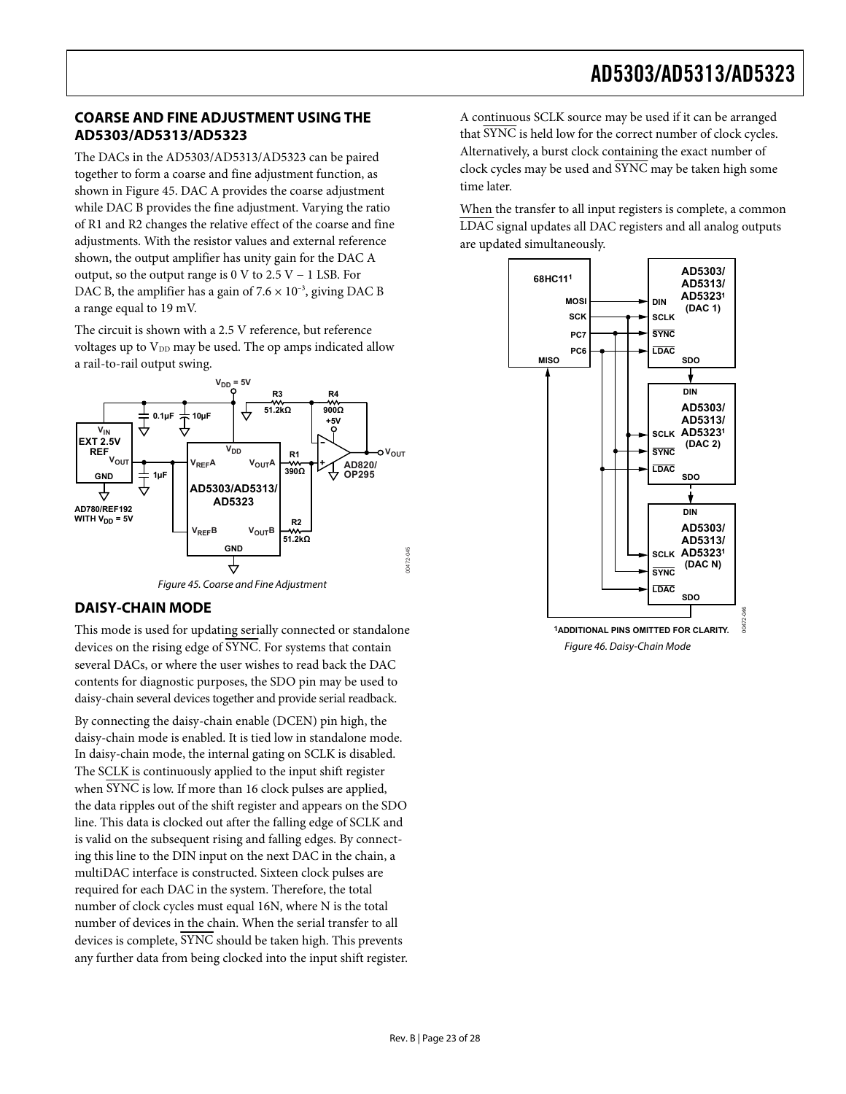### <span id="page-22-1"></span><span id="page-22-0"></span>**COARSE AND FINE ADJUSTMENT USING THE AD5303/AD5313/AD5323**

The DACs in the AD5303/AD5313/AD5323 can be paired together to form a coarse and fine adjustment function, as shown in [Figure 45](#page-22-2). DAC A provides the coarse adjustment while DAC B provides the fine adjustment. Varying the ratio of R1 and R2 changes the relative effect of the coarse and fine adjustments. With the resistor values and external reference shown, the output amplifier has unity gain for the DAC A output, so the output range is 0 V to 2.5 V − 1 LSB. For DAC B, the amplifier has a gain of  $7.6 \times 10^{-3}$ , giving DAC B a range equal to 19 mV.

The circuit is shown with a 2.5 V reference, but reference voltages up to  $V_{DD}$  may be used. The op amps indicated allow a rail-to-rail output swing.



Figure 45. Coarse and Fine Adjustment

### <span id="page-22-2"></span>**DAISY-CHAIN MODE**

This mode is used for updating serially connected or standalone devices on the rising edge of SYNC. For systems that contain several DACs, or where the user wishes to read back the DAC contents for diagnostic purposes, the SDO pin may be used to daisy-chain several devices together and provide serial readback.

By connecting the daisy-chain enable (DCEN) pin high, the daisy-chain mode is enabled. It is tied low in standalone mode. In daisy-chain mode, the internal gating on SCLK is disabled. The SCLK is continuously applied to the input shift register when SYNC is low. If more than 16 clock pulses are applied, the data ripples out of the shift register and appears on the SDO line. This data is clocked out after the falling edge of SCLK and is valid on the subsequent rising and falling edges. By connecting this line to the DIN input on the next DAC in the chain, a multiDAC interface is constructed. Sixteen clock pulses are required for each DAC in the system. Therefore, the total number of clock cycles must equal 16N, where N is the total number of devices in the chain. When the serial transfer to all devices is complete, SYNC should be taken high. This prevents any further data from being clocked into the input shift register.

A continuous SCLK source may be used if it can be arranged that SYNC is held low for the correct number of clock cycles. Alternatively, a burst clock containing the exact number of clock cycles may be used and  $\overline{\text{SYNC}}$  may be taken high some time later.

When the transfer to all input registers is complete, a common LDAC signal updates all DAC registers and all analog outputs are updated simultaneously.



**1ADDITIONAL PINS OMITTED FOR CLARITY.** Figure 46. Daisy-Chain Mode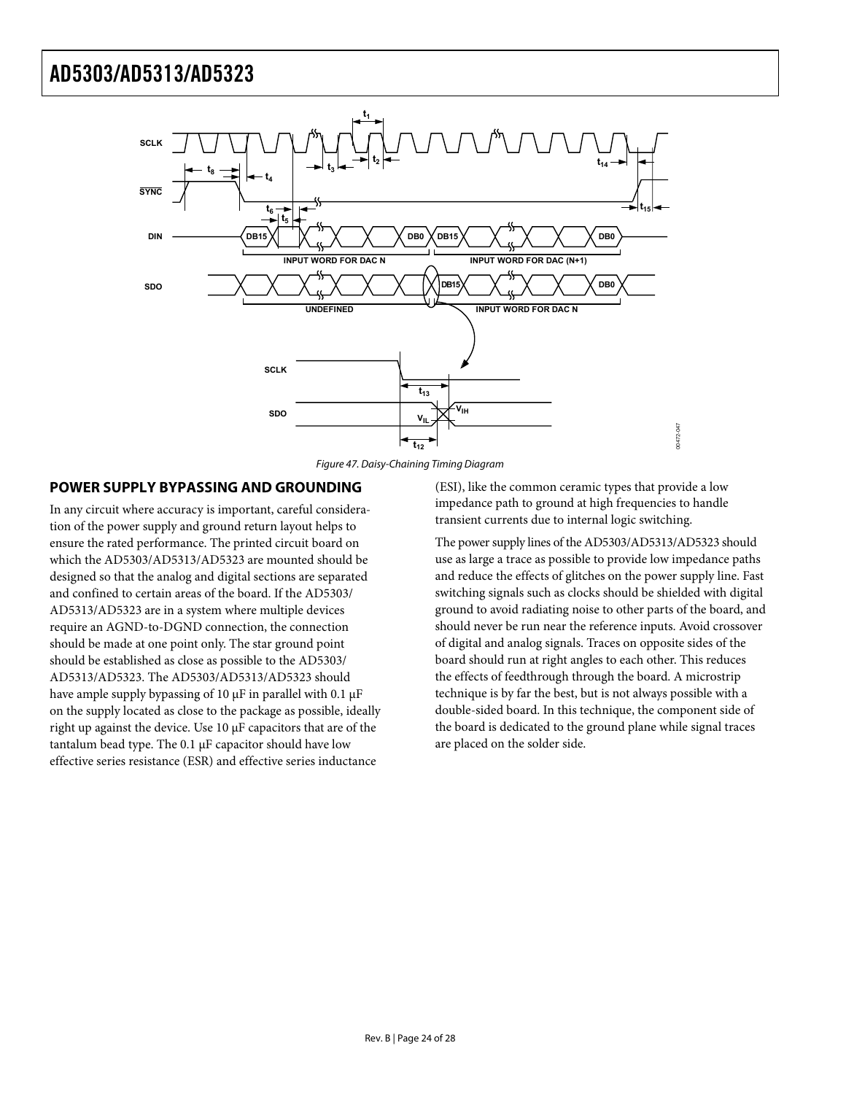<span id="page-23-0"></span>

Figure 47. Daisy-Chaining Timing Diagram

### **POWER SUPPLY BYPASSING AND GROUNDING**

In any circuit where accuracy is important, careful consideration of the power supply and ground return layout helps to ensure the rated performance. The printed circuit board on which the AD5303/AD5313/AD5323 are mounted should be designed so that the analog and digital sections are separated and confined to certain areas of the board. If the AD5303/ AD5313/AD5323 are in a system where multiple devices require an AGND-to-DGND connection, the connection should be made at one point only. The star ground point should be established as close as possible to the AD5303/ AD5313/AD5323. The AD5303/AD5313/AD5323 should have ample supply bypassing of 10 μF in parallel with 0.1 μF on the supply located as close to the package as possible, ideally right up against the device. Use 10 μF capacitors that are of the tantalum bead type. The 0.1 μF capacitor should have low effective series resistance (ESR) and effective series inductance

(ESI), like the common ceramic types that provide a low impedance path to ground at high frequencies to handle transient currents due to internal logic switching.

The power supply lines of the AD5303/AD5313/AD5323 should use as large a trace as possible to provide low impedance paths and reduce the effects of glitches on the power supply line. Fast switching signals such as clocks should be shielded with digital ground to avoid radiating noise to other parts of the board, and should never be run near the reference inputs. Avoid crossover of digital and analog signals. Traces on opposite sides of the board should run at right angles to each other. This reduces the effects of feedthrough through the board. A microstrip technique is by far the best, but is not always possible with a double-sided board. In this technique, the component side of the board is dedicated to the ground plane while signal traces are placed on the solder side.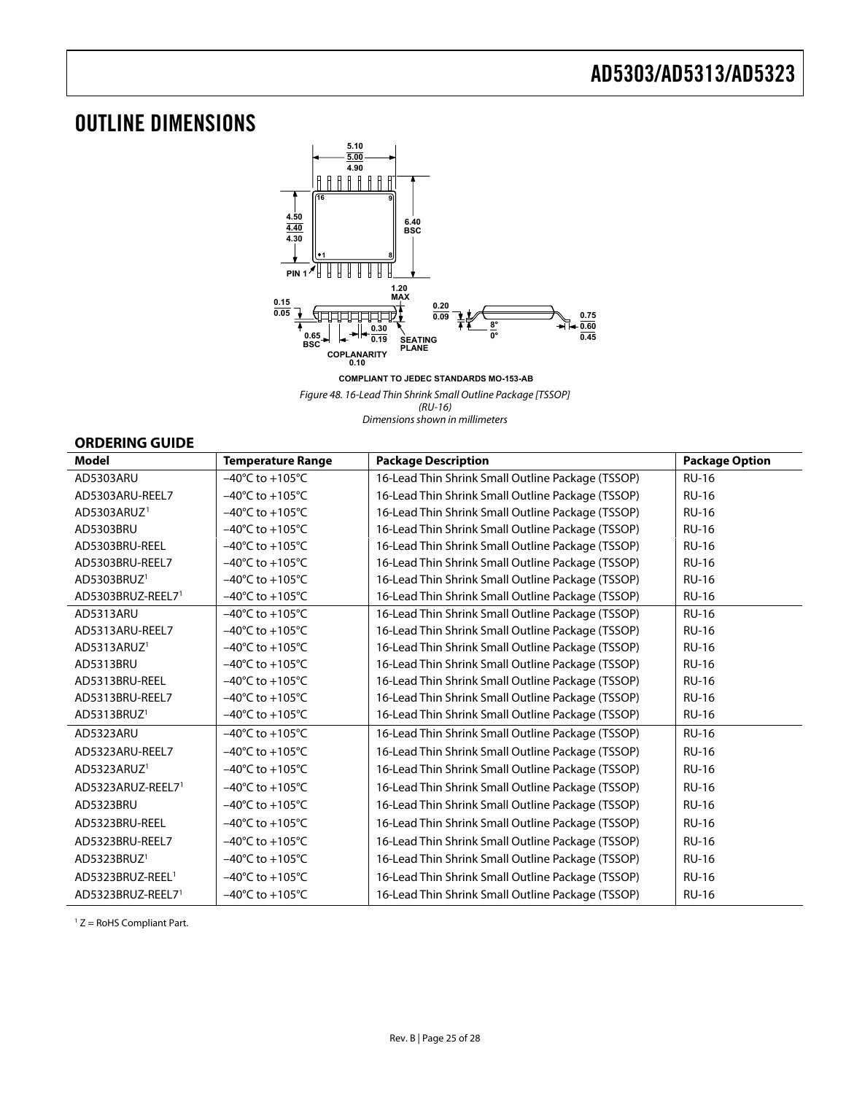## <span id="page-24-1"></span><span id="page-24-0"></span>OUTLINE DIMENSIONS



**COMPLIANT TO JEDEC STANDARDS MO-153-AB**

Figure 48. 16-Lead Thin Shrink Small Outline Package [TSSOP] (RU-16)

Dimensions shown in millimeters

### **ORDERING GUIDE**

| <b>Model</b>                 | <b>Temperature Range</b>            | <b>Package Description</b>                        | <b>Package Option</b> |
|------------------------------|-------------------------------------|---------------------------------------------------|-----------------------|
| AD5303ARU                    | $-40^{\circ}$ C to $+105^{\circ}$ C | 16-Lead Thin Shrink Small Outline Package (TSSOP) | <b>RU-16</b>          |
| AD5303ARU-REEL7              | $-40^{\circ}$ C to $+105^{\circ}$ C | 16-Lead Thin Shrink Small Outline Package (TSSOP) | <b>RU-16</b>          |
| AD5303ARUZ <sup>1</sup>      | $-40^{\circ}$ C to $+105^{\circ}$ C | 16-Lead Thin Shrink Small Outline Package (TSSOP) | <b>RU-16</b>          |
| AD5303BRU                    | $-40^{\circ}$ C to $+105^{\circ}$ C | 16-Lead Thin Shrink Small Outline Package (TSSOP) | <b>RU-16</b>          |
| AD5303BRU-REEL               | $-40^{\circ}$ C to $+105^{\circ}$ C | 16-Lead Thin Shrink Small Outline Package (TSSOP) | <b>RU-16</b>          |
| AD5303BRU-REEL7              | $-40^{\circ}$ C to $+105^{\circ}$ C | 16-Lead Thin Shrink Small Outline Package (TSSOP) | <b>RU-16</b>          |
| AD5303BRUZ <sup>1</sup>      | $-40^{\circ}$ C to $+105^{\circ}$ C | 16-Lead Thin Shrink Small Outline Package (TSSOP) | <b>RU-16</b>          |
| AD5303BRUZ-REEL71            | $-40^{\circ}$ C to $+105^{\circ}$ C | 16-Lead Thin Shrink Small Outline Package (TSSOP) | <b>RU-16</b>          |
| AD5313ARU                    | $-40^{\circ}$ C to $+105^{\circ}$ C | 16-Lead Thin Shrink Small Outline Package (TSSOP) | <b>RU-16</b>          |
| AD5313ARU-REEL7              | $-40^{\circ}$ C to $+105^{\circ}$ C | 16-Lead Thin Shrink Small Outline Package (TSSOP) | <b>RU-16</b>          |
| AD5313ARUZ <sup>1</sup>      | $-40^{\circ}$ C to $+105^{\circ}$ C | 16-Lead Thin Shrink Small Outline Package (TSSOP) | <b>RU-16</b>          |
| AD5313BRU                    | $-40^{\circ}$ C to $+105^{\circ}$ C | 16-Lead Thin Shrink Small Outline Package (TSSOP) | <b>RU-16</b>          |
| AD5313BRU-REEL               | $-40^{\circ}$ C to $+105^{\circ}$ C | 16-Lead Thin Shrink Small Outline Package (TSSOP) | <b>RU-16</b>          |
| AD5313BRU-REEL7              | $-40^{\circ}$ C to $+105^{\circ}$ C | 16-Lead Thin Shrink Small Outline Package (TSSOP) | <b>RU-16</b>          |
| AD5313BRUZ <sup>1</sup>      | $-40^{\circ}$ C to $+105^{\circ}$ C | 16-Lead Thin Shrink Small Outline Package (TSSOP) | <b>RU-16</b>          |
| AD5323ARU                    | $-40^{\circ}$ C to $+105^{\circ}$ C | 16-Lead Thin Shrink Small Outline Package (TSSOP) | <b>RU-16</b>          |
| AD5323ARU-REEL7              | $-40^{\circ}$ C to $+105^{\circ}$ C | 16-Lead Thin Shrink Small Outline Package (TSSOP) | <b>RU-16</b>          |
| AD5323ARUZ <sup>1</sup>      | $-40^{\circ}$ C to $+105^{\circ}$ C | 16-Lead Thin Shrink Small Outline Package (TSSOP) | <b>RU-16</b>          |
| AD5323ARUZ-REEL71            | $-40^{\circ}$ C to $+105^{\circ}$ C | 16-Lead Thin Shrink Small Outline Package (TSSOP) | <b>RU-16</b>          |
| AD5323BRU                    | $-40^{\circ}$ C to $+105^{\circ}$ C | 16-Lead Thin Shrink Small Outline Package (TSSOP) | <b>RU-16</b>          |
| AD5323BRU-REEL               | $-40^{\circ}$ C to $+105^{\circ}$ C | 16-Lead Thin Shrink Small Outline Package (TSSOP) | <b>RU-16</b>          |
| AD5323BRU-REEL7              | $-40^{\circ}$ C to $+105^{\circ}$ C | 16-Lead Thin Shrink Small Outline Package (TSSOP) | <b>RU-16</b>          |
| AD5323BRUZ <sup>1</sup>      | $-40^{\circ}$ C to $+105^{\circ}$ C | 16-Lead Thin Shrink Small Outline Package (TSSOP) | <b>RU-16</b>          |
| AD5323BRUZ-REEL <sup>1</sup> | $-40^{\circ}$ C to $+105^{\circ}$ C | 16-Lead Thin Shrink Small Outline Package (TSSOP) | <b>RU-16</b>          |
| AD5323BRUZ-REEL71            | $-40^{\circ}$ C to $+105^{\circ}$ C | 16-Lead Thin Shrink Small Outline Package (TSSOP) | <b>RU-16</b>          |

 $1 Z =$  RoHS Compliant Part.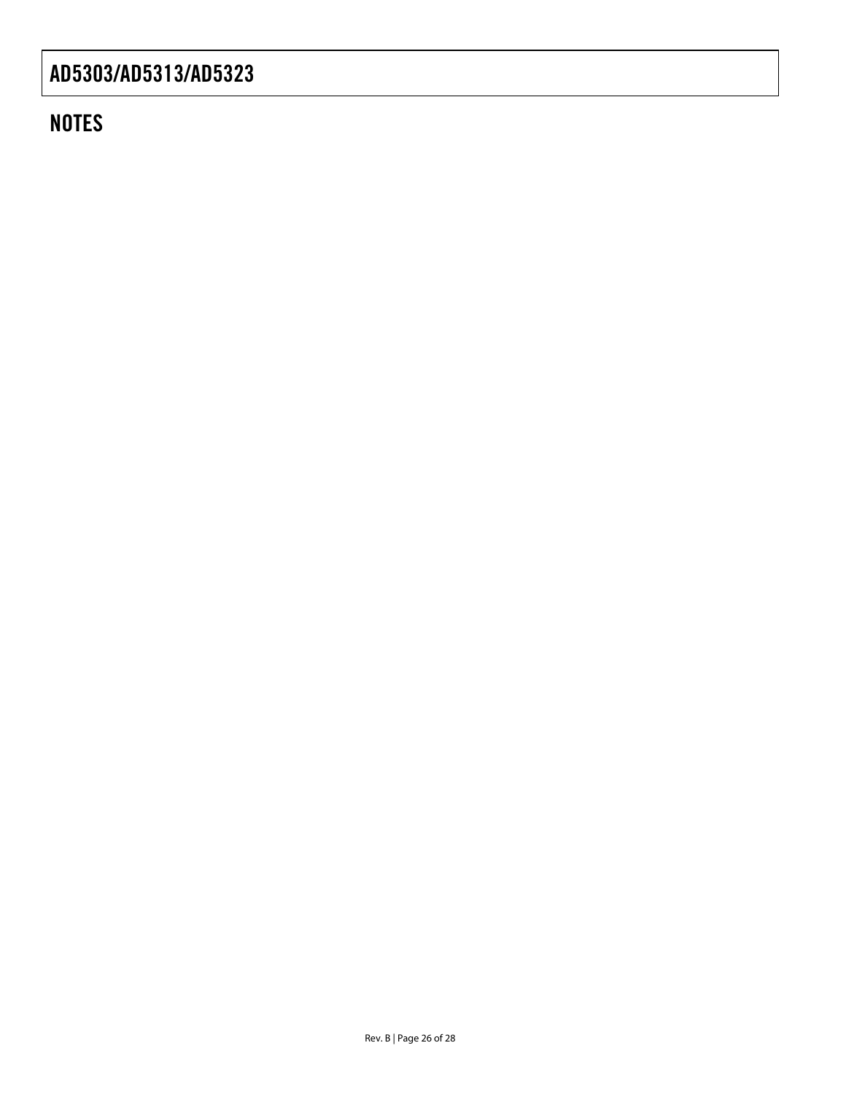# **NOTES**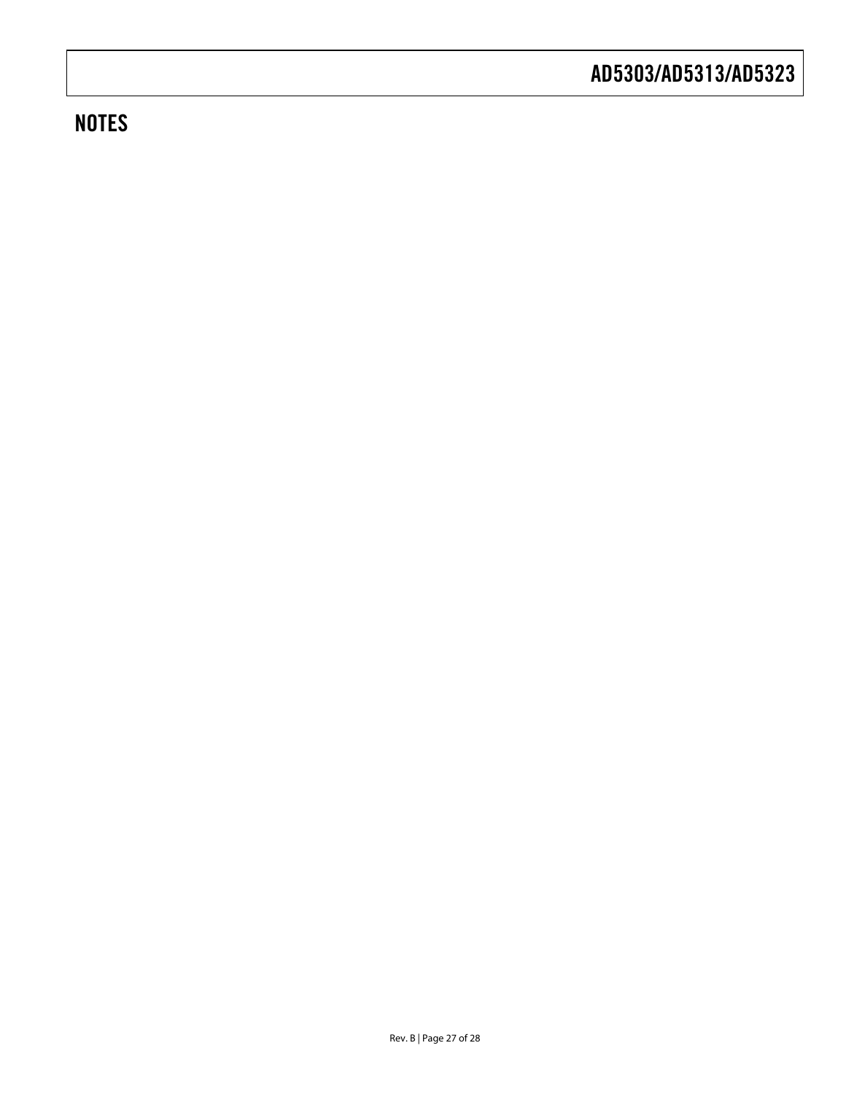# **NOTES**